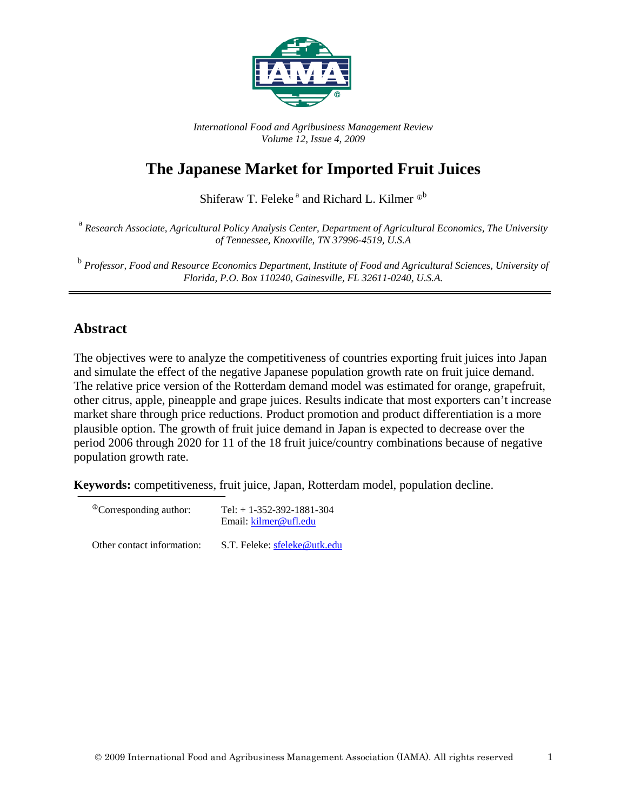

*International Food and Agribusiness Management Review Volume 12, Issue 4, 2009*

# **The Japanese Market for Imported Fruit Juices**

Shiferaw T. Feleke<sup>a</sup> and Richard L. Kilmer  $\Phi^b$ 

<sup>a</sup> *Research Associate, Agricultural Policy Analysis Center, Department of Agricultural Economics, The University of Tennessee, Knoxville, TN 37996-4519, U.S.A*

<sup>b</sup> *Professor, Food and Resource Economics Department, Institute of Food and Agricultural Sciences, University of Florida, P.O. Box 110240, Gainesville, FL 32611-0240, U.S.A.*

### **Abstract**

The objectives were to analyze the competitiveness of countries exporting fruit juices into Japan and simulate the effect of the negative Japanese population growth rate on fruit juice demand. The relative price version of the Rotterdam demand model was estimated for orange, grapefruit, other citrus, apple, pineapple and grape juices. Results indicate that most exporters can't increase market share through price reductions. Product promotion and product differentiation is a more plausible option. The growth of fruit juice demand in Japan is expected to decrease over the period 2006 through 2020 for 11 of the 18 fruit juice/country combinations because of negative population growth rate.

**Keywords:** competitiveness, fruit juice, Japan, Rotterdam model, population decline.

| <sup>®</sup> Corresponding author: | Tel: $+ 1 - 352 - 392 - 1881 - 304$<br>Email: kilmer@ufl.edu |  |  |  |  |
|------------------------------------|--------------------------------------------------------------|--|--|--|--|
| Other contact information:         | S.T. Feleke: sfeleke@utk.edu                                 |  |  |  |  |

2009 International Food and Agribusiness Management Association (IAMA). All rights reserved 1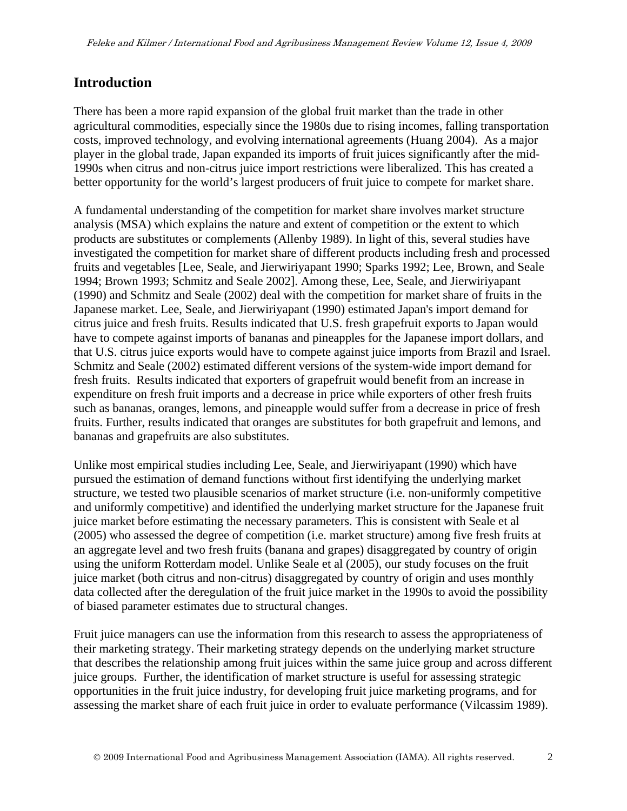### **Introduction**

There has been a more rapid expansion of the global fruit market than the trade in other agricultural commodities, especially since the 1980s due to rising incomes, falling transportation costs, improved technology, and evolving international agreements (Huang 2004). As a major player in the global trade, Japan expanded its imports of fruit juices significantly after the mid-1990s when citrus and non-citrus juice import restrictions were liberalized. This has created a better opportunity for the world's largest producers of fruit juice to compete for market share.

A fundamental understanding of the competition for market share involves market structure analysis (MSA) which explains the nature and extent of competition or the extent to which products are substitutes or complements (Allenby 1989). In light of this, several studies have investigated the competition for market share of different products including fresh and processed fruits and vegetables [Lee, Seale, and Jierwiriyapant 1990; Sparks 1992; Lee, Brown, and Seale 1994; Brown 1993; Schmitz and Seale 2002]. Among these, Lee, Seale, and Jierwiriyapant (1990) and Schmitz and Seale (2002) deal with the competition for market share of fruits in the Japanese market. Lee, Seale, and Jierwiriyapant (1990) estimated Japan's import demand for citrus juice and fresh fruits. Results indicated that U.S. fresh grapefruit exports to Japan would have to compete against imports of bananas and pineapples for the Japanese import dollars, and that U.S. citrus juice exports would have to compete against juice imports from Brazil and Israel. Schmitz and Seale (2002) estimated different versions of the system-wide import demand for fresh fruits. Results indicated that exporters of grapefruit would benefit from an increase in expenditure on fresh fruit imports and a decrease in price while exporters of other fresh fruits such as bananas, oranges, lemons, and pineapple would suffer from a decrease in price of fresh fruits. Further, results indicated that oranges are substitutes for both grapefruit and lemons, and bananas and grapefruits are also substitutes.

Unlike most empirical studies including Lee, Seale, and Jierwiriyapant (1990) which have pursued the estimation of demand functions without first identifying the underlying market structure, we tested two plausible scenarios of market structure (i.e. non-uniformly competitive and uniformly competitive) and identified the underlying market structure for the Japanese fruit juice market before estimating the necessary parameters. This is consistent with Seale et al (2005) who assessed the degree of competition (i.e. market structure) among five fresh fruits at an aggregate level and two fresh fruits (banana and grapes) disaggregated by country of origin using the uniform Rotterdam model. Unlike Seale et al (2005), our study focuses on the fruit juice market (both citrus and non-citrus) disaggregated by country of origin and uses monthly data collected after the deregulation of the fruit juice market in the 1990s to avoid the possibility of biased parameter estimates due to structural changes.

Fruit juice managers can use the information from this research to assess the appropriateness of their marketing strategy. Their marketing strategy depends on the underlying market structure that describes the relationship among fruit juices within the same juice group and across different juice groups. Further, the identification of market structure is useful for assessing strategic opportunities in the fruit juice industry, for developing fruit juice marketing programs, and for assessing the market share of each fruit juice in order to evaluate performance (Vilcassim 1989).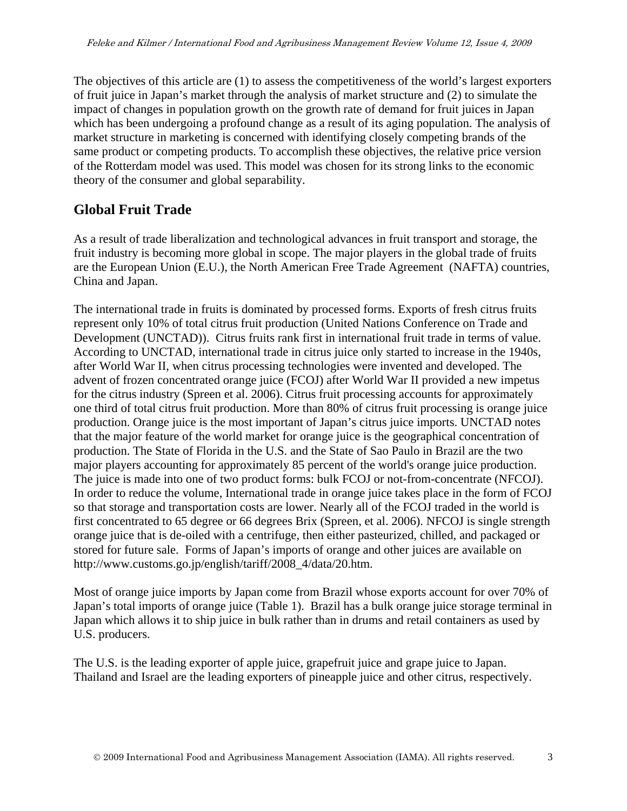The objectives of this article are (1) to assess the competitiveness of the world's largest exporters of fruit juice in Japan's market through the analysis of market structure and (2) to simulate the impact of changes in population growth on the growth rate of demand for fruit juices in Japan which has been undergoing a profound change as a result of its aging population. The analysis of market structure in marketing is concerned with identifying closely competing brands of the same product or competing products. To accomplish these objectives, the relative price version of the Rotterdam model was used. This model was chosen for its strong links to the economic theory of the consumer and global separability.

## **Global Fruit Trade**

As a result of trade liberalization and technological advances in fruit transport and storage, the fruit industry is becoming more global in scope. The major players in the global trade of fruits are the European Union (E.U.), the North American Free Trade Agreement (NAFTA) countries, China and Japan.

The international trade in fruits is dominated by processed forms. Exports of fresh citrus fruits represent only 10% of total citrus fruit production (United Nations Conference on Trade and Development (UNCTAD)). Citrus fruits rank first in international fruit trade in terms of value. According to UNCTAD, international trade in citrus juice only started to increase in the 1940s, after World War II, when citrus processing technologies were invented and developed. The advent of frozen concentrated orange juice (FCOJ) after World War II provided a new impetus for the citrus industry (Spreen et al. 2006). Citrus fruit processing accounts for approximately one third of total citrus fruit production. More than 80% of citrus fruit processing is orange juice production. Orange juice is the most important of Japan's citrus juice imports. UNCTAD notes that the major feature of the world market for orange juice is the geographical concentration of production. The State of Florida in the U.S. and the State of Sao Paulo in Brazil are the two major players accounting for approximately 85 percent of the world's orange juice production. The juice is made into one of two product forms: bulk FCOJ or not-from-concentrate (NFCOJ). In order to reduce the volume, International trade in orange juice takes place in the form of FCOJ so that storage and transportation costs are lower. Nearly all of the FCOJ traded in the world is first concentrated to 65 degree or 66 degrees Brix (Spreen, et al. 2006). NFCOJ is single strength orange juice that is de-oiled with a centrifuge, then either pasteurized, chilled, and packaged or stored for future sale. Forms of Japan's imports of orange and other juices are available on http://www.customs.go.jp/english/tariff/2008\_4/data/20.htm.

Most of orange juice imports by Japan come from Brazil whose exports account for over 70% of Japan's total imports of orange juice (Table 1). Brazil has a bulk orange juice storage terminal in Japan which allows it to ship juice in bulk rather than in drums and retail containers as used by U.S. producers.

The U.S. is the leading exporter of apple juice, grapefruit juice and grape juice to Japan. Thailand and Israel are the leading exporters of pineapple juice and other citrus, respectively.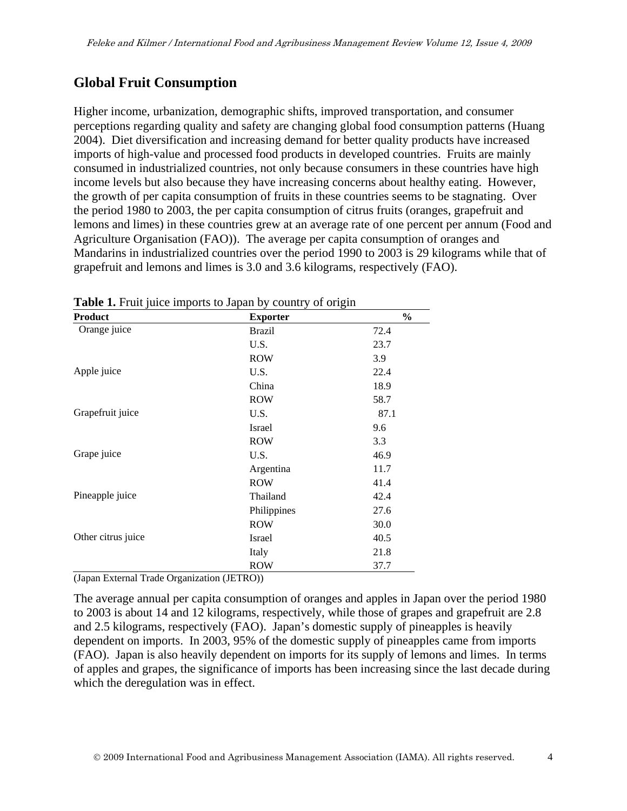## **Global Fruit Consumption**

Higher income, urbanization, demographic shifts, improved transportation, and consumer perceptions regarding quality and safety are changing global food consumption patterns (Huang 2004). Diet diversification and increasing demand for better quality products have increased imports of high-value and processed food products in developed countries. Fruits are mainly consumed in industrialized countries, not only because consumers in these countries have high income levels but also because they have increasing concerns about healthy eating. However, the growth of per capita consumption of fruits in these countries seems to be stagnating. Over the period 1980 to 2003, the per capita consumption of citrus fruits (oranges, grapefruit and lemons and limes) in these countries grew at an average rate of one percent per annum (Food and Agriculture Organisation (FAO)). The average per capita consumption of oranges and Mandarins in industrialized countries over the period 1990 to 2003 is 29 kilograms while that of grapefruit and lemons and limes is 3.0 and 3.6 kilograms, respectively (FAO).

| <b>Product</b>     | <b>Exporter</b> | $\frac{0}{0}$ |
|--------------------|-----------------|---------------|
| Orange juice       | <b>Brazil</b>   | 72.4          |
|                    | U.S.            | 23.7          |
|                    | <b>ROW</b>      | 3.9           |
| Apple juice        | U.S.            | 22.4          |
|                    | China           | 18.9          |
|                    | <b>ROW</b>      | 58.7          |
| Grapefruit juice   | U.S.            | 87.1          |
|                    | Israel          | 9.6           |
|                    | <b>ROW</b>      | 3.3           |
| Grape juice        | U.S.            | 46.9          |
|                    | Argentina       | 11.7          |
|                    | <b>ROW</b>      | 41.4          |
| Pineapple juice    | Thailand        | 42.4          |
|                    | Philippines     | 27.6          |
|                    | <b>ROW</b>      | 30.0          |
| Other citrus juice | Israel          | 40.5          |
|                    | Italy           | 21.8          |
|                    | <b>ROW</b>      | 37.7          |

**Table 1.** Fruit juice imports to Japan by country of origin

(Japan External Trade Organization (JETRO))

The average annual per capita consumption of oranges and apples in Japan over the period 1980 to 2003 is about 14 and 12 kilograms, respectively, while those of grapes and grapefruit are 2.8 and 2.5 kilograms, respectively (FAO). Japan's domestic supply of pineapples is heavily dependent on imports. In 2003, 95% of the domestic supply of pineapples came from imports (FAO). Japan is also heavily dependent on imports for its supply of lemons and limes. In terms of apples and grapes, the significance of imports has been increasing since the last decade during which the deregulation was in effect.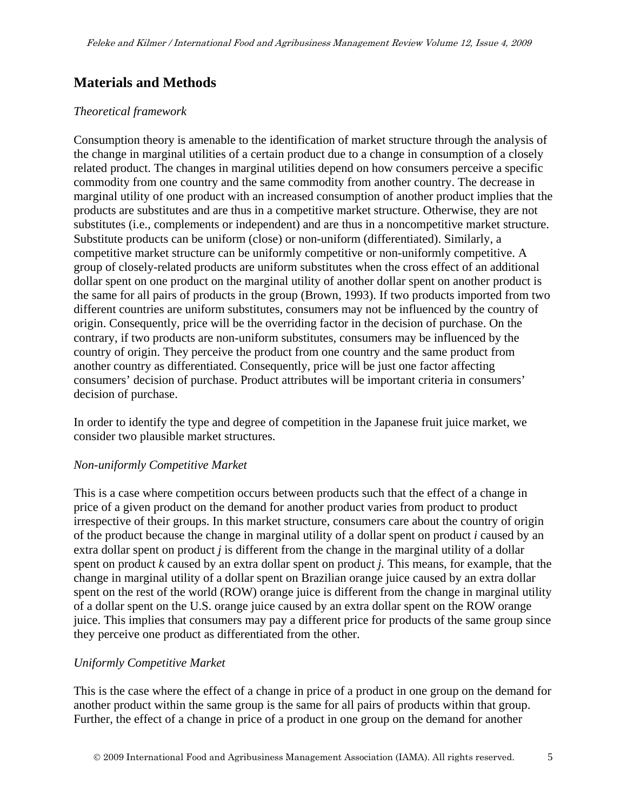## **Materials and Methods**

#### *Theoretical framework*

Consumption theory is amenable to the identification of market structure through the analysis of the change in marginal utilities of a certain product due to a change in consumption of a closely related product. The changes in marginal utilities depend on how consumers perceive a specific commodity from one country and the same commodity from another country. The decrease in marginal utility of one product with an increased consumption of another product implies that the products are substitutes and are thus in a competitive market structure. Otherwise, they are not substitutes (i.e., complements or independent) and are thus in a noncompetitive market structure. Substitute products can be uniform (close) or non-uniform (differentiated). Similarly, a competitive market structure can be uniformly competitive or non-uniformly competitive. A group of closely-related products are uniform substitutes when the cross effect of an additional dollar spent on one product on the marginal utility of another dollar spent on another product is the same for all pairs of products in the group (Brown, 1993). If two products imported from two different countries are uniform substitutes, consumers may not be influenced by the country of origin. Consequently, price will be the overriding factor in the decision of purchase. On the contrary, if two products are non-uniform substitutes, consumers may be influenced by the country of origin. They perceive the product from one country and the same product from another country as differentiated. Consequently, price will be just one factor affecting consumers' decision of purchase. Product attributes will be important criteria in consumers' decision of purchase.

In order to identify the type and degree of competition in the Japanese fruit juice market, we consider two plausible market structures.

#### *Non-uniformly Competitive Market*

This is a case where competition occurs between products such that the effect of a change in price of a given product on the demand for another product varies from product to product irrespective of their groups. In this market structure, consumers care about the country of origin of the product because the change in marginal utility of a dollar spent on product *i* caused by an extra dollar spent on product *j* is different from the change in the marginal utility of a dollar spent on product *k* caused by an extra dollar spent on product *j.* This means, for example, that the change in marginal utility of a dollar spent on Brazilian orange juice caused by an extra dollar spent on the rest of the world (ROW) orange juice is different from the change in marginal utility of a dollar spent on the U.S. orange juice caused by an extra dollar spent on the ROW orange juice. This implies that consumers may pay a different price for products of the same group since they perceive one product as differentiated from the other.

#### *Uniformly Competitive Market*

This is the case where the effect of a change in price of a product in one group on the demand for another product within the same group is the same for all pairs of products within that group. Further, the effect of a change in price of a product in one group on the demand for another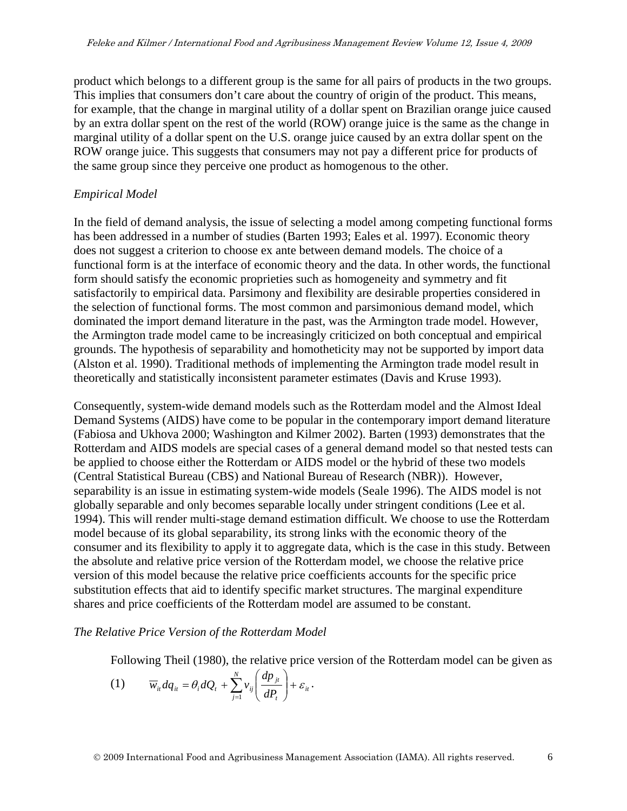product which belongs to a different group is the same for all pairs of products in the two groups. This implies that consumers don't care about the country of origin of the product. This means, for example, that the change in marginal utility of a dollar spent on Brazilian orange juice caused by an extra dollar spent on the rest of the world (ROW) orange juice is the same as the change in marginal utility of a dollar spent on the U.S. orange juice caused by an extra dollar spent on the ROW orange juice. This suggests that consumers may not pay a different price for products of the same group since they perceive one product as homogenous to the other.

#### *Empirical Model*

In the field of demand analysis, the issue of selecting a model among competing functional forms has been addressed in a number of studies (Barten 1993; Eales et al. 1997). Economic theory does not suggest a criterion to choose ex ante between demand models. The choice of a functional form is at the interface of economic theory and the data. In other words, the functional form should satisfy the economic proprieties such as homogeneity and symmetry and fit satisfactorily to empirical data. Parsimony and flexibility are desirable properties considered in the selection of functional forms. The most common and parsimonious demand model, which dominated the import demand literature in the past, was the Armington trade model. However, the Armington trade model came to be increasingly criticized on both conceptual and empirical grounds. The hypothesis of separability and homotheticity may not be supported by import data (Alston et al. 1990). Traditional methods of implementing the Armington trade model result in theoretically and statistically inconsistent parameter estimates (Davis and Kruse 1993).

Consequently, system-wide demand models such as the Rotterdam model and the Almost Ideal Demand Systems (AIDS) have come to be popular in the contemporary import demand literature (Fabiosa and Ukhova 2000; Washington and Kilmer 2002). Barten (1993) demonstrates that the Rotterdam and AIDS models are special cases of a general demand model so that nested tests can be applied to choose either the Rotterdam or AIDS model or the hybrid of these two models (Central Statistical Bureau (CBS) and National Bureau of Research (NBR)). However, separability is an issue in estimating system-wide models (Seale 1996). The AIDS model is not globally separable and only becomes separable locally under stringent conditions (Lee et al. 1994). This will render multi-stage demand estimation difficult. We choose to use the Rotterdam model because of its global separability, its strong links with the economic theory of the consumer and its flexibility to apply it to aggregate data, which is the case in this study. Between the absolute and relative price version of the Rotterdam model, we choose the relative price version of this model because the relative price coefficients accounts for the specific price substitution effects that aid to identify specific market structures. The marginal expenditure shares and price coefficients of the Rotterdam model are assumed to be constant.

#### *The Relative Price Version of the Rotterdam Model*

Following Theil (1980), the relative price version of the Rotterdam model can be given as

$$
(1) \qquad \overline{w}_{ii}dq_{ii} = \theta_i dQ_i + \sum_{j=1}^N v_{ij} \left( \frac{dp_{ji}}{dP_i} \right) + \varepsilon_{ii}.
$$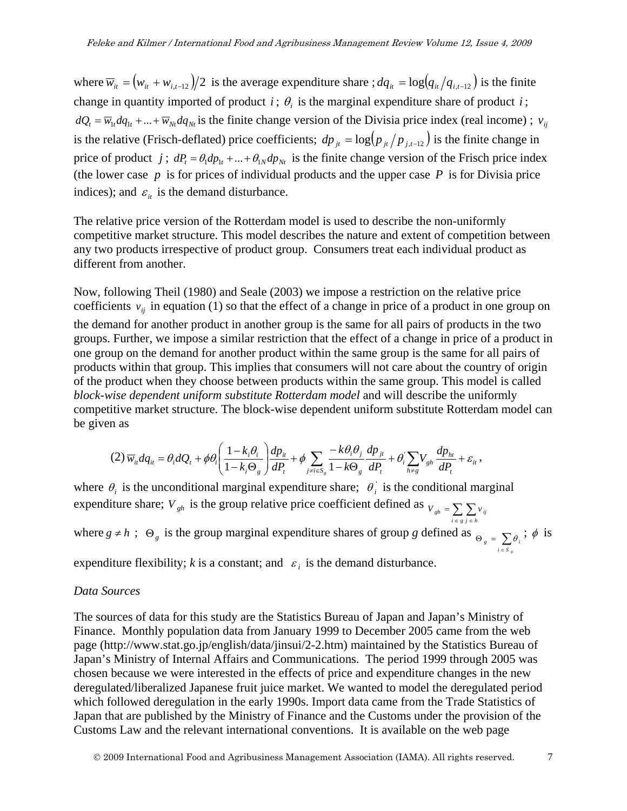where  $\overline{w}_{it} = (w_{it} + w_{i,t-12})/2$  is the average expenditure share ;  $dq_{it} = \log(q_{it}/q_{i,t-12})$  is the finite change in quantity imported of product *i*;  $\theta$ , is the marginal expenditure share of product *i*;  $dQ_t = \overline{w}_{1t} dq_{1t} + ... + \overline{w}_{Nt} dq_{Nt}$  is the finite change version of the Divisia price index (real income) ;  $v_{ij}$ is the relative (Frisch-deflated) price coefficients;  $dp_{jt} = \log (p_{jt}/p_{j,t-12})$  is the finite change in price of product *j*;  $dP_t = \theta_1 dp_{1t} + ... + \theta_N dp_{Nt}$  is the finite change version of the Frisch price index (the lower case  $p$  is for prices of individual products and the upper case  $P$  is for Divisia price indices); and  $\varepsilon_{it}$  is the demand disturbance.

The relative price version of the Rotterdam model is used to describe the non-uniformly competitive market structure. This model describes the nature and extent of competition between any two products irrespective of product group. Consumers treat each individual product as different from another.

Now, following Theil (1980) and Seale (2003) we impose a restriction on the relative price coefficients  $v_{ij}$  in equation (1) so that the effect of a change in price of a product in one group on the demand for another product in another group is the same for all pairs of products in the two groups. Further, we impose a similar restriction that the effect of a change in price of a product in one group on the demand for another product within the same group is the same for all pairs of products within that group. This implies that consumers will not care about the country of origin of the product when they choose between products within the same group. This model is called *block-wise dependent uniform substitute Rotterdam model* and will describe the uniformly competitive market structure. The block-wise dependent uniform substitute Rotterdam model can be given as

$$
(2)\,\overline{w}_{ii}dq_{ii} = \theta_i dQ_t + \phi\theta_i \left(\frac{1-k_i\theta_i}{1-k_i\Theta_g}\right)\frac{dp_{ii}}{dP_t} + \phi\sum_{j\neq i\in S_g}\frac{-k\theta_i\theta_j}{1-k\Theta_g}\frac{dp_{ji}}{dP_t} + \theta_i\sum_{h\neq g}V_{gh}\frac{dp_{hi}}{dP_t} + \varepsilon_{ii}\,,
$$

where  $\theta_i$  is the unconditional marginal expenditure share;  $\theta_i$  is the conditional marginal expenditure share;  $V_{gh}$  is the group relative price coefficient defined as  $V_{gh} = \sum_{i \in g} \sum_{j \in h} V_{ij}$ *i g j h* where  $g \neq h$ ;  $\Theta_g$  is the group marginal expenditure shares of group *g* defined as  $\Theta_g = \sum \theta_i$ ;  $\phi$  is ∈  $i \in S$ <sub>g</sub>

expenditure flexibility; *k* is a constant; and  $\varepsilon_i$  is the demand disturbance.

#### *Data Sources*

The sources of data for this study are the Statistics Bureau of Japan and Japan's Ministry of Finance. Monthly population data from January 1999 to December 2005 came from the web page (http://www.stat.go.jp/english/data/jinsui/2-2.htm) maintained by the Statistics Bureau of Japan's Ministry of Internal Affairs and Communications. The period 1999 through 2005 was chosen because we were interested in the effects of price and expenditure changes in the new deregulated/liberalized Japanese fruit juice market. We wanted to model the deregulated period which followed deregulation in the early 1990s. Import data came from the Trade Statistics of Japan that are published by the Ministry of Finance and the Customs under the provision of the Customs Law and the relevant international conventions. It is available on the web page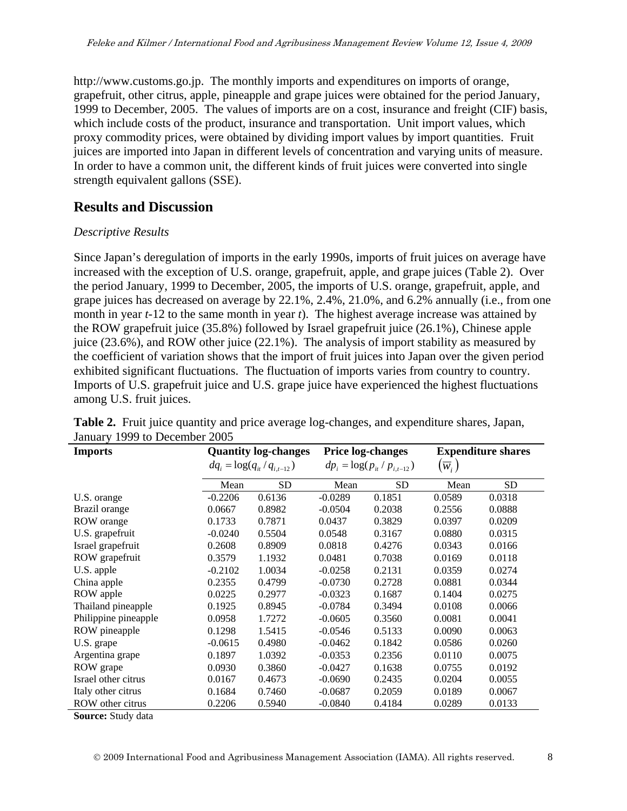http://www.customs.go.jp. The monthly imports and expenditures on imports of orange, grapefruit, other citrus, apple, pineapple and grape juices were obtained for the period January, 1999 to December, 2005. The values of imports are on a cost, insurance and freight (CIF) basis, which include costs of the product, insurance and transportation. Unit import values, which proxy commodity prices, were obtained by dividing import values by import quantities. Fruit juices are imported into Japan in different levels of concentration and varying units of measure. In order to have a common unit, the different kinds of fruit juices were converted into single strength equivalent gallons (SSE).

### **Results and Discussion**

#### *Descriptive Results*

Since Japan's deregulation of imports in the early 1990s, imports of fruit juices on average have increased with the exception of U.S. orange, grapefruit, apple, and grape juices (Table 2). Over the period January, 1999 to December, 2005, the imports of U.S. orange, grapefruit, apple, and grape juices has decreased on average by 22.1%, 2.4%, 21.0%, and 6.2% annually (i.e., from one month in year *t-*12 to the same month in year *t*). The highest average increase was attained by the ROW grapefruit juice (35.8%) followed by Israel grapefruit juice (26.1%), Chinese apple juice (23.6%), and ROW other juice (22.1%). The analysis of import stability as measured by the coefficient of variation shows that the import of fruit juices into Japan over the given period exhibited significant fluctuations. The fluctuation of imports varies from country to country. Imports of U.S. grapefruit juice and U.S. grape juice have experienced the highest fluctuations among U.S. fruit juices.

| <b>Imports</b>       | <b>Quantity log-changes</b>      |           | <b>Price log-changes</b>        |           | <b>Expenditure shares</b> |        |  |
|----------------------|----------------------------------|-----------|---------------------------------|-----------|---------------------------|--------|--|
|                      | $dq_i = \log(q_{it}/q_{i,t-12})$ |           | $dp_i = \log(p_i / p_{i,t-12})$ |           | $(\overline{w}_{i})$      |        |  |
|                      | Mean                             | <b>SD</b> | Mean                            | <b>SD</b> | Mean                      | SD.    |  |
| U.S. orange          | $-0.2206$                        | 0.6136    | $-0.0289$                       | 0.1851    | 0.0589                    | 0.0318 |  |
| Brazil orange        | 0.0667                           | 0.8982    | $-0.0504$                       | 0.2038    | 0.2556                    | 0.0888 |  |
| ROW orange           | 0.1733                           | 0.7871    | 0.0437                          | 0.3829    | 0.0397                    | 0.0209 |  |
| U.S. grapefruit      | $-0.0240$                        | 0.5504    | 0.0548                          | 0.3167    | 0.0880                    | 0.0315 |  |
| Israel grapefruit    | 0.2608                           | 0.8909    | 0.0818                          | 0.4276    | 0.0343                    | 0.0166 |  |
| ROW grapefruit       | 0.3579                           | 1.1932    | 0.0481                          | 0.7038    | 0.0169                    | 0.0118 |  |
| U.S. apple           | $-0.2102$                        | 1.0034    | $-0.0258$                       | 0.2131    | 0.0359                    | 0.0274 |  |
| China apple          | 0.2355                           | 0.4799    | $-0.0730$                       | 0.2728    | 0.0881                    | 0.0344 |  |
| ROW apple            | 0.0225                           | 0.2977    | $-0.0323$                       | 0.1687    | 0.1404                    | 0.0275 |  |
| Thailand pineapple   | 0.1925                           | 0.8945    | $-0.0784$                       | 0.3494    | 0.0108                    | 0.0066 |  |
| Philippine pineapple | 0.0958                           | 1.7272    | $-0.0605$                       | 0.3560    | 0.0081                    | 0.0041 |  |
| ROW pineapple        | 0.1298                           | 1.5415    | $-0.0546$                       | 0.5133    | 0.0090                    | 0.0063 |  |
| U.S. grape           | $-0.0615$                        | 0.4980    | $-0.0462$                       | 0.1842    | 0.0586                    | 0.0260 |  |
| Argentina grape      | 0.1897                           | 1.0392    | $-0.0353$                       | 0.2356    | 0.0110                    | 0.0075 |  |
| ROW grape            | 0.0930                           | 0.3860    | $-0.0427$                       | 0.1638    | 0.0755                    | 0.0192 |  |
| Israel other citrus  | 0.0167                           | 0.4673    | $-0.0690$                       | 0.2435    | 0.0204                    | 0.0055 |  |
| Italy other citrus   | 0.1684                           | 0.7460    | $-0.0687$                       | 0.2059    | 0.0189                    | 0.0067 |  |
| ROW other citrus     | 0.2206                           | 0.5940    | $-0.0840$                       | 0.4184    | 0.0289                    | 0.0133 |  |

**Table 2.** Fruit juice quantity and price average log-changes, and expenditure shares, Japan, January 1999 to December 2005

**Source:** Study data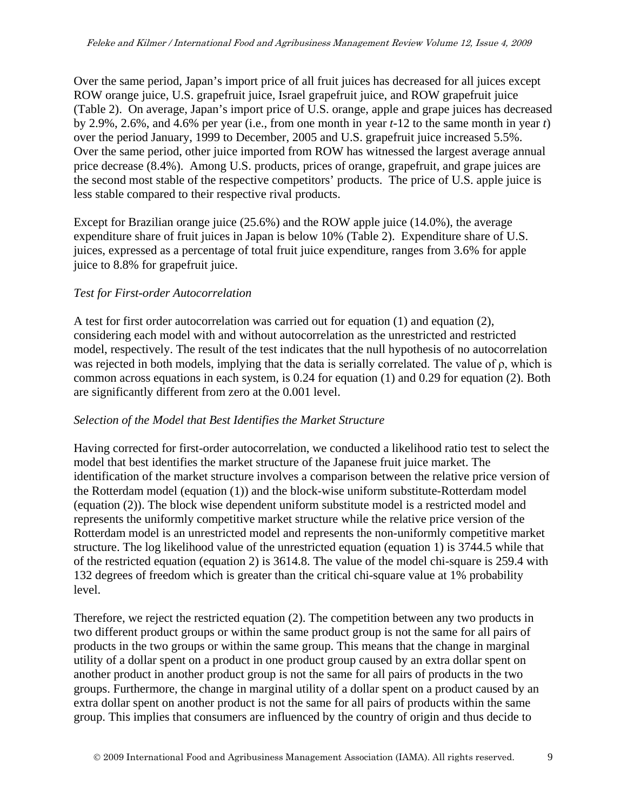Over the same period, Japan's import price of all fruit juices has decreased for all juices except ROW orange juice, U.S. grapefruit juice, Israel grapefruit juice, and ROW grapefruit juice (Table 2). On average, Japan's import price of U.S. orange, apple and grape juices has decreased by 2.9%, 2.6%, and 4.6% per year (i.e., from one month in year *t*-12 to the same month in year *t*) over the period January, 1999 to December, 2005 and U.S. grapefruit juice increased 5.5%. Over the same period, other juice imported from ROW has witnessed the largest average annual price decrease (8.4%). Among U.S. products, prices of orange, grapefruit, and grape juices are the second most stable of the respective competitors' products. The price of U.S. apple juice is less stable compared to their respective rival products.

Except for Brazilian orange juice (25.6%) and the ROW apple juice (14.0%), the average expenditure share of fruit juices in Japan is below 10% (Table 2). Expenditure share of U.S. juices, expressed as a percentage of total fruit juice expenditure, ranges from 3.6% for apple juice to 8.8% for grapefruit juice.

#### *Test for First-order Autocorrelation*

A test for first order autocorrelation was carried out for equation (1) and equation (2), considering each model with and without autocorrelation as the unrestricted and restricted model, respectively. The result of the test indicates that the null hypothesis of no autocorrelation was rejected in both models, implying that the data is serially correlated. The value of ρ, which is common across equations in each system, is 0.24 for equation (1) and 0.29 for equation (2). Both are significantly different from zero at the 0.001 level.

#### *Selection of the Model that Best Identifies the Market Structure*

Having corrected for first-order autocorrelation, we conducted a likelihood ratio test to select the model that best identifies the market structure of the Japanese fruit juice market. The identification of the market structure involves a comparison between the relative price version of the Rotterdam model (equation (1)) and the block-wise uniform substitute-Rotterdam model (equation (2)). The block wise dependent uniform substitute model is a restricted model and represents the uniformly competitive market structure while the relative price version of the Rotterdam model is an unrestricted model and represents the non-uniformly competitive market structure. The log likelihood value of the unrestricted equation (equation 1) is 3744.5 while that of the restricted equation (equation 2) is 3614.8. The value of the model chi-square is 259.4 with 132 degrees of freedom which is greater than the critical chi-square value at 1% probability level.

Therefore, we reject the restricted equation (2). The competition between any two products in two different product groups or within the same product group is not the same for all pairs of products in the two groups or within the same group. This means that the change in marginal utility of a dollar spent on a product in one product group caused by an extra dollar spent on another product in another product group is not the same for all pairs of products in the two groups. Furthermore, the change in marginal utility of a dollar spent on a product caused by an extra dollar spent on another product is not the same for all pairs of products within the same group. This implies that consumers are influenced by the country of origin and thus decide to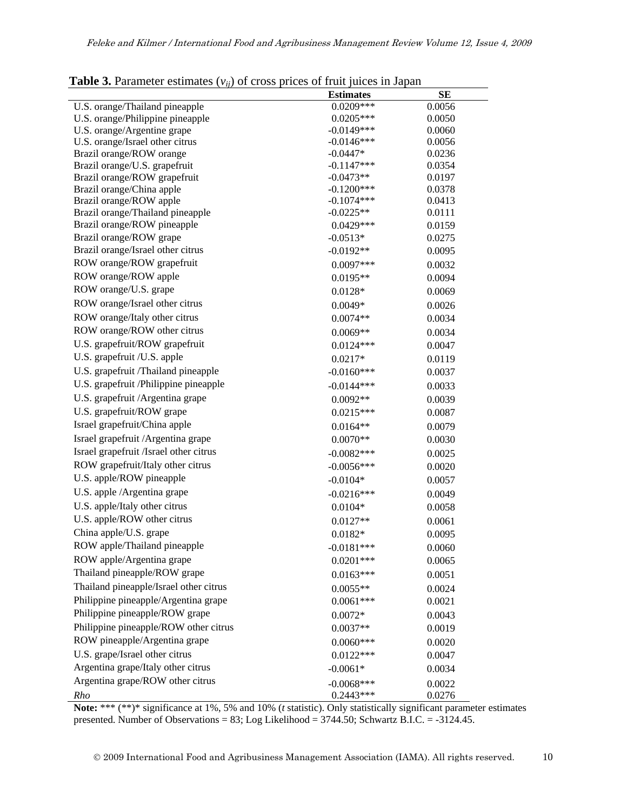| <b>radic 3.</b> Farancel estimates $(v_{ij})$ or cross prices of fruit failed in Japan |                            |                  |
|----------------------------------------------------------------------------------------|----------------------------|------------------|
|                                                                                        | <b>Estimates</b>           | <b>SE</b>        |
| U.S. orange/Thailand pineapple<br>U.S. orange/Philippine pineapple                     | $0.0209***$<br>$0.0205***$ | 0.0056<br>0.0050 |
| U.S. orange/Argentine grape                                                            | $-0.0149***$               | 0.0060           |
| U.S. orange/Israel other citrus                                                        | $-0.0146***$               | 0.0056           |
| Brazil orange/ROW orange                                                               | $-0.0447*$                 | 0.0236           |
| Brazil orange/U.S. grapefruit                                                          | $-0.1147***$               | 0.0354           |
| Brazil orange/ROW grapefruit                                                           | $-0.0473**$                | 0.0197           |
| Brazil orange/China apple                                                              | $-0.1200***$               | 0.0378           |
| Brazil orange/ROW apple                                                                | $-0.1074***$               | 0.0413           |
| Brazil orange/Thailand pineapple                                                       | $-0.0225**$                | 0.0111           |
| Brazil orange/ROW pineapple                                                            | $0.0429***$                | 0.0159           |
| Brazil orange/ROW grape                                                                | $-0.0513*$                 | 0.0275           |
| Brazil orange/Israel other citrus                                                      | $-0.0192**$                | 0.0095           |
| ROW orange/ROW grapefruit                                                              | $0.0097***$                | 0.0032           |
| ROW orange/ROW apple                                                                   | $0.0195**$                 | 0.0094           |
| ROW orange/U.S. grape                                                                  | $0.0128*$                  | 0.0069           |
| ROW orange/Israel other citrus                                                         | $0.0049*$                  | 0.0026           |
| ROW orange/Italy other citrus                                                          | $0.0074**$                 | 0.0034           |
| ROW orange/ROW other citrus                                                            | $0.0069**$                 | 0.0034           |
| U.S. grapefruit/ROW grapefruit                                                         | $0.0124***$                | 0.0047           |
| U.S. grapefruit /U.S. apple                                                            | $0.0217*$                  | 0.0119           |
| U.S. grapefruit /Thailand pineapple                                                    | $-0.0160***$               | 0.0037           |
| U.S. grapefruit /Philippine pineapple                                                  | $-0.0144***$               | 0.0033           |
| U.S. grapefruit /Argentina grape                                                       | $0.0092**$                 | 0.0039           |
| U.S. grapefruit/ROW grape                                                              | $0.0215***$                | 0.0087           |
| Israel grapefruit/China apple                                                          | $0.0164**$                 | 0.0079           |
| Israel grapefruit /Argentina grape                                                     | $0.0070**$                 | 0.0030           |
| Israel grapefruit /Israel other citrus                                                 | $-0.0082***$               | 0.0025           |
| ROW grapefruit/Italy other citrus                                                      | $-0.0056***$               | 0.0020           |
| U.S. apple/ROW pineapple                                                               | $-0.0104*$                 | 0.0057           |
| U.S. apple /Argentina grape                                                            |                            |                  |
| U.S. apple/Italy other citrus                                                          | $-0.0216***$               | 0.0049           |
| U.S. apple/ROW other citrus                                                            | $0.0104*$                  | 0.0058           |
|                                                                                        | $0.0127**$                 | 0.0061           |
| China apple/U.S. grape                                                                 | $0.0182*$                  | 0.0095           |
| ROW apple/Thailand pineapple                                                           | $-0.0181***$               | 0.0060           |
| ROW apple/Argentina grape                                                              | $0.0201***$                | 0.0065           |
| Thailand pineapple/ROW grape                                                           | $0.0163***$                | 0.0051           |
| Thailand pineapple/Israel other citrus                                                 | $0.0055**$                 | 0.0024           |
| Philippine pineapple/Argentina grape                                                   | $0.0061***$                | 0.0021           |
| Philippine pineapple/ROW grape                                                         | $0.0072*$                  | 0.0043           |
| Philippine pineapple/ROW other citrus                                                  | $0.0037**$                 | 0.0019           |
| ROW pineapple/Argentina grape                                                          | $0.0060***$                | 0.0020           |
| U.S. grape/Israel other citrus                                                         | $0.0122***$                | 0.0047           |
| Argentina grape/Italy other citrus                                                     | $-0.0061*$                 | 0.0034           |
| Argentina grape/ROW other citrus                                                       | $-0.0068***$               | 0.0022           |
| Rho                                                                                    | $0.2443***$                | 0.0276           |

**Note:** \*\*\* (\*\*)\* significance at 1%, 5% and 10% (*t* statistic). Only statistically significant parameter estimates presented. Number of Observations = 83; Log Likelihood = 3744.50; Schwartz B.I.C. = -3124.45.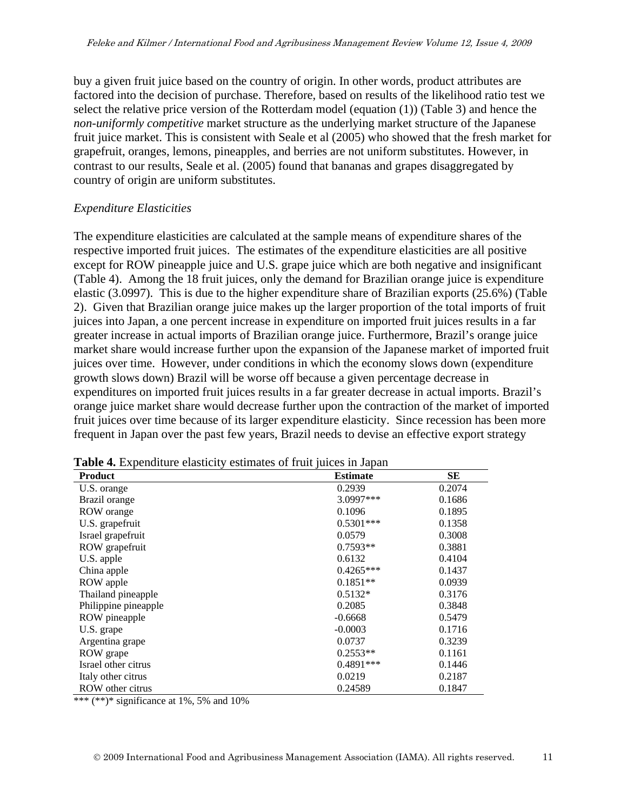buy a given fruit juice based on the country of origin. In other words, product attributes are factored into the decision of purchase. Therefore, based on results of the likelihood ratio test we select the relative price version of the Rotterdam model (equation (1)) (Table 3) and hence the *non-uniformly competitive* market structure as the underlying market structure of the Japanese fruit juice market. This is consistent with Seale et al (2005) who showed that the fresh market for grapefruit, oranges, lemons, pineapples, and berries are not uniform substitutes. However, in contrast to our results, Seale et al. (2005) found that bananas and grapes disaggregated by country of origin are uniform substitutes.

#### *Expenditure Elasticities*

The expenditure elasticities are calculated at the sample means of expenditure shares of the respective imported fruit juices. The estimates of the expenditure elasticities are all positive except for ROW pineapple juice and U.S. grape juice which are both negative and insignificant (Table 4). Among the 18 fruit juices, only the demand for Brazilian orange juice is expenditure elastic (3.0997). This is due to the higher expenditure share of Brazilian exports (25.6%) (Table 2). Given that Brazilian orange juice makes up the larger proportion of the total imports of fruit juices into Japan, a one percent increase in expenditure on imported fruit juices results in a far greater increase in actual imports of Brazilian orange juice. Furthermore, Brazil's orange juice market share would increase further upon the expansion of the Japanese market of imported fruit juices over time. However, under conditions in which the economy slows down (expenditure growth slows down) Brazil will be worse off because a given percentage decrease in expenditures on imported fruit juices results in a far greater decrease in actual imports. Brazil's orange juice market share would decrease further upon the contraction of the market of imported fruit juices over time because of its larger expenditure elasticity. Since recession has been more frequent in Japan over the past few years, Brazil needs to devise an effective export strategy

| <b>Product</b>       | <b>Estimate</b> | <b>SE</b> |
|----------------------|-----------------|-----------|
| U.S. orange          | 0.2939          | 0.2074    |
| Brazil orange        | 3.0997***       | 0.1686    |
| ROW orange           | 0.1096          | 0.1895    |
| U.S. grapefruit      | $0.5301***$     | 0.1358    |
| Israel grapefruit    | 0.0579          | 0.3008    |
| ROW grapefruit       | $0.7593**$      | 0.3881    |
| U.S. apple           | 0.6132          | 0.4104    |
| China apple          | $0.4265***$     | 0.1437    |
| ROW apple            | $0.1851**$      | 0.0939    |
| Thailand pineapple   | $0.5132*$       | 0.3176    |
| Philippine pineapple | 0.2085          | 0.3848    |
| ROW pineapple        | $-0.6668$       | 0.5479    |
| U.S. grape           | $-0.0003$       | 0.1716    |
| Argentina grape      | 0.0737          | 0.3239    |
| ROW grape            | $0.2553**$      | 0.1161    |
| Israel other citrus  | $0.4891***$     | 0.1446    |
| Italy other citrus   | 0.0219          | 0.2187    |
| ROW other citrus     | 0.24589         | 0.1847    |

**Table 4.** Expenditure elasticity estimates of fruit juices in Japan

\*\*\* (\*\*)\* significance at 1%, 5% and 10%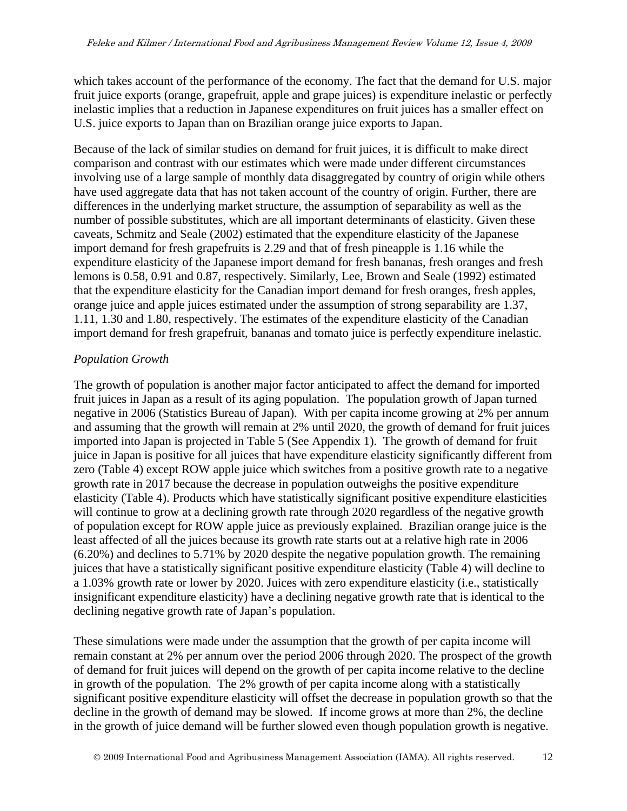which takes account of the performance of the economy. The fact that the demand for U.S. major fruit juice exports (orange, grapefruit, apple and grape juices) is expenditure inelastic or perfectly inelastic implies that a reduction in Japanese expenditures on fruit juices has a smaller effect on U.S. juice exports to Japan than on Brazilian orange juice exports to Japan.

Because of the lack of similar studies on demand for fruit juices, it is difficult to make direct comparison and contrast with our estimates which were made under different circumstances involving use of a large sample of monthly data disaggregated by country of origin while others have used aggregate data that has not taken account of the country of origin. Further, there are differences in the underlying market structure, the assumption of separability as well as the number of possible substitutes, which are all important determinants of elasticity. Given these caveats, Schmitz and Seale (2002) estimated that the expenditure elasticity of the Japanese import demand for fresh grapefruits is 2.29 and that of fresh pineapple is 1.16 while the expenditure elasticity of the Japanese import demand for fresh bananas, fresh oranges and fresh lemons is 0.58, 0.91 and 0.87, respectively. Similarly, Lee, Brown and Seale (1992) estimated that the expenditure elasticity for the Canadian import demand for fresh oranges, fresh apples, orange juice and apple juices estimated under the assumption of strong separability are 1.37, 1.11, 1.30 and 1.80, respectively. The estimates of the expenditure elasticity of the Canadian import demand for fresh grapefruit, bananas and tomato juice is perfectly expenditure inelastic.

#### *Population Growth*

The growth of population is another major factor anticipated to affect the demand for imported fruit juices in Japan as a result of its aging population. The population growth of Japan turned negative in 2006 (Statistics Bureau of Japan). With per capita income growing at 2% per annum and assuming that the growth will remain at 2% until 2020, the growth of demand for fruit juices imported into Japan is projected in Table 5 (See Appendix 1). The growth of demand for fruit juice in Japan is positive for all juices that have expenditure elasticity significantly different from zero (Table 4) except ROW apple juice which switches from a positive growth rate to a negative growth rate in 2017 because the decrease in population outweighs the positive expenditure elasticity (Table 4). Products which have statistically significant positive expenditure elasticities will continue to grow at a declining growth rate through 2020 regardless of the negative growth of population except for ROW apple juice as previously explained. Brazilian orange juice is the least affected of all the juices because its growth rate starts out at a relative high rate in 2006 (6.20%) and declines to 5.71% by 2020 despite the negative population growth. The remaining juices that have a statistically significant positive expenditure elasticity (Table 4) will decline to a 1.03% growth rate or lower by 2020. Juices with zero expenditure elasticity (i.e., statistically insignificant expenditure elasticity) have a declining negative growth rate that is identical to the declining negative growth rate of Japan's population.

These simulations were made under the assumption that the growth of per capita income will remain constant at 2% per annum over the period 2006 through 2020. The prospect of the growth of demand for fruit juices will depend on the growth of per capita income relative to the decline in growth of the population. The 2% growth of per capita income along with a statistically significant positive expenditure elasticity will offset the decrease in population growth so that the decline in the growth of demand may be slowed. If income grows at more than 2%, the decline in the growth of juice demand will be further slowed even though population growth is negative.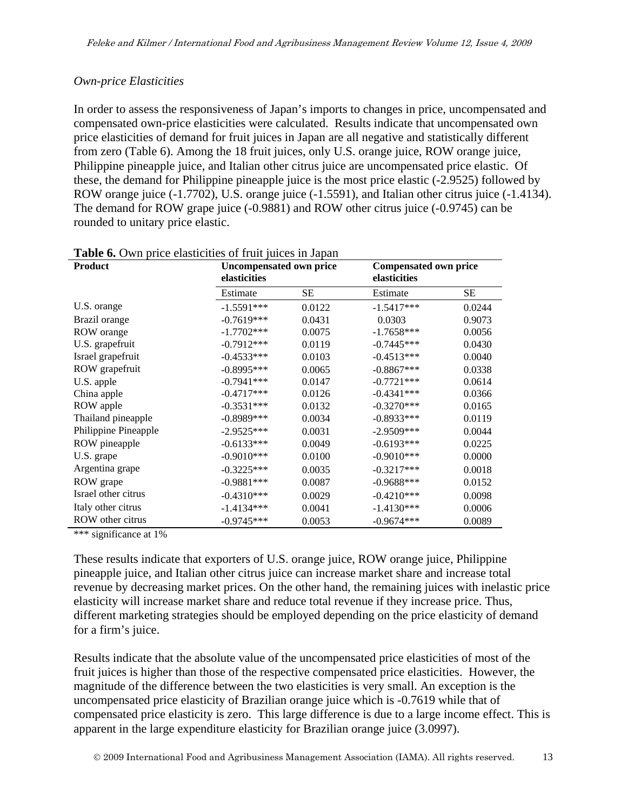#### *Own-price Elasticities*

In order to assess the responsiveness of Japan's imports to changes in price, uncompensated and compensated own-price elasticities were calculated. Results indicate that uncompensated own price elasticities of demand for fruit juices in Japan are all negative and statistically different from zero (Table 6). Among the 18 fruit juices, only U.S. orange juice, ROW orange juice, Philippine pineapple juice, and Italian other citrus juice are uncompensated price elastic. Of these, the demand for Philippine pineapple juice is the most price elastic (-2.9525) followed by ROW orange juice (-1.7702), U.S. orange juice (-1.5591), and Italian other citrus juice (-1.4134). The demand for ROW grape juice (-0.9881) and ROW other citrus juice (-0.9745) can be rounded to unitary price elastic.

| <b>Product</b>       | <b>Uncompensated own price</b><br>elasticities |           | elasticities | <b>Compensated own price</b> |  |  |
|----------------------|------------------------------------------------|-----------|--------------|------------------------------|--|--|
|                      | Estimate                                       | <b>SE</b> | Estimate     | SЕ                           |  |  |
| U.S. orange          | $-1.5591***$                                   | 0.0122    | $-1.5417***$ | 0.0244                       |  |  |
| Brazil orange        | $-0.7619***$                                   | 0.0431    | 0.0303       | 0.9073                       |  |  |
| ROW orange           | $-1.7702***$                                   | 0.0075    | $-1.7658***$ | 0.0056                       |  |  |
| U.S. grapefruit      | $-0.7912***$                                   | 0.0119    | $-0.7445***$ | 0.0430                       |  |  |
| Israel grapefruit    | $-0.4533***$                                   | 0.0103    | $-0.4513***$ | 0.0040                       |  |  |
| ROW grapefruit       | $-0.8995***$                                   | 0.0065    | $-0.8867***$ | 0.0338                       |  |  |
| U.S. apple           | $-0.7941***$                                   | 0.0147    | $-0.7721***$ | 0.0614                       |  |  |
| China apple          | $-0.4717***$                                   | 0.0126    | $-0.4341***$ | 0.0366                       |  |  |
| ROW apple            | $-0.3531***$                                   | 0.0132    | $-0.3270***$ | 0.0165                       |  |  |
| Thailand pineapple   | $-0.8989***$                                   | 0.0034    | $-0.8933***$ | 0.0119                       |  |  |
| Philippine Pineapple | $-2.9525***$                                   | 0.0031    | $-2.9509***$ | 0.0044                       |  |  |
| ROW pineapple        | $-0.6133***$                                   | 0.0049    | $-0.6193***$ | 0.0225                       |  |  |
| U.S. grape           | $-0.9010***$                                   | 0.0100    | $-0.9010***$ | 0.0000                       |  |  |
| Argentina grape      | $-0.3225***$                                   | 0.0035    | $-0.3217***$ | 0.0018                       |  |  |
| ROW grape            | $-0.9881***$                                   | 0.0087    | $-0.9688***$ | 0.0152                       |  |  |
| Israel other citrus  | $-0.4310***$                                   | 0.0029    | $-0.4210***$ | 0.0098                       |  |  |
| Italy other citrus   | $-1.4134***$                                   | 0.0041    | $-1.4130***$ | 0.0006                       |  |  |
| ROW other citrus     | $-0.9745***$                                   | 0.0053    | $-0.9674***$ | 0.0089                       |  |  |

**Table 6.** Own price elasticities of fruit juices in Japan

\*\*\* significance at 1%

These results indicate that exporters of U.S. orange juice, ROW orange juice, Philippine pineapple juice, and Italian other citrus juice can increase market share and increase total revenue by decreasing market prices. On the other hand, the remaining juices with inelastic price elasticity will increase market share and reduce total revenue if they increase price. Thus, different marketing strategies should be employed depending on the price elasticity of demand for a firm's juice.

Results indicate that the absolute value of the uncompensated price elasticities of most of the fruit juices is higher than those of the respective compensated price elasticities. However, the magnitude of the difference between the two elasticities is very small. An exception is the uncompensated price elasticity of Brazilian orange juice which is -0.7619 while that of compensated price elasticity is zero. This large difference is due to a large income effect. This is apparent in the large expenditure elasticity for Brazilian orange juice (3.0997).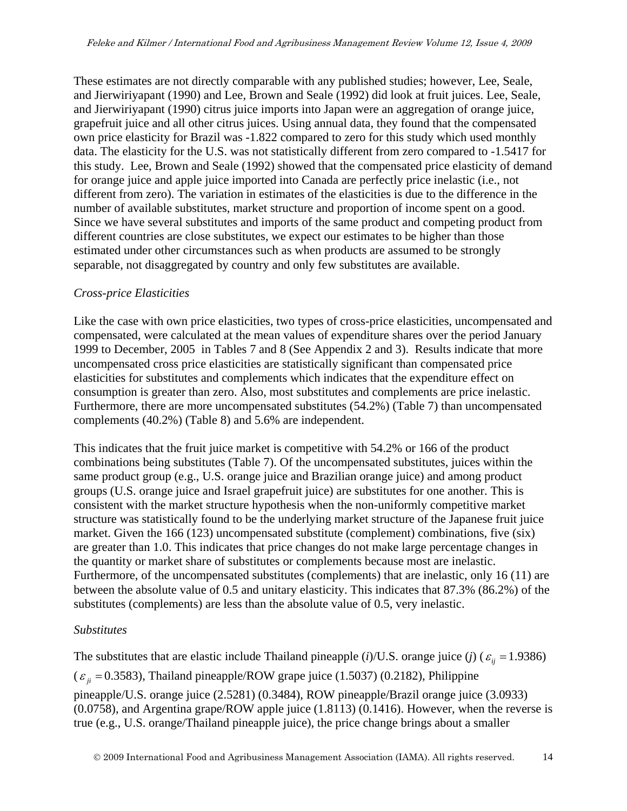These estimates are not directly comparable with any published studies; however, Lee, Seale, and Jierwiriyapant (1990) and Lee, Brown and Seale (1992) did look at fruit juices. Lee, Seale, and Jierwiriyapant (1990) citrus juice imports into Japan were an aggregation of orange juice, grapefruit juice and all other citrus juices. Using annual data, they found that the compensated own price elasticity for Brazil was -1.822 compared to zero for this study which used monthly data. The elasticity for the U.S. was not statistically different from zero compared to -1.5417 for this study. Lee, Brown and Seale (1992) showed that the compensated price elasticity of demand for orange juice and apple juice imported into Canada are perfectly price inelastic (i.e., not different from zero). The variation in estimates of the elasticities is due to the difference in the number of available substitutes, market structure and proportion of income spent on a good. Since we have several substitutes and imports of the same product and competing product from different countries are close substitutes, we expect our estimates to be higher than those estimated under other circumstances such as when products are assumed to be strongly separable, not disaggregated by country and only few substitutes are available.

#### *Cross-price Elasticities*

Like the case with own price elasticities, two types of cross-price elasticities, uncompensated and compensated, were calculated at the mean values of expenditure shares over the period January 1999 to December, 2005 in Tables 7 and 8 (See Appendix 2 and 3). Results indicate that more uncompensated cross price elasticities are statistically significant than compensated price elasticities for substitutes and complements which indicates that the expenditure effect on consumption is greater than zero. Also, most substitutes and complements are price inelastic. Furthermore, there are more uncompensated substitutes (54.2%) (Table 7) than uncompensated complements (40.2%) (Table 8) and 5.6% are independent.

This indicates that the fruit juice market is competitive with 54.2% or 166 of the product combinations being substitutes (Table 7). Of the uncompensated substitutes, juices within the same product group (e.g., U.S. orange juice and Brazilian orange juice) and among product groups (U.S. orange juice and Israel grapefruit juice) are substitutes for one another. This is consistent with the market structure hypothesis when the non-uniformly competitive market structure was statistically found to be the underlying market structure of the Japanese fruit juice market. Given the 166 (123) uncompensated substitute (complement) combinations, five (six) are greater than 1.0. This indicates that price changes do not make large percentage changes in the quantity or market share of substitutes or complements because most are inelastic. Furthermore, of the uncompensated substitutes (complements) that are inelastic, only 16 (11) are between the absolute value of 0.5 and unitary elasticity. This indicates that 87.3% (86.2%) of the substitutes (complements) are less than the absolute value of 0.5, very inelastic.

#### *Substitutes*

The substitutes that are elastic include Thailand pineapple (*i*)/U.S. orange juice (*j*) ( $\varepsilon$ <sub>*ij*</sub> = 1.9386)  $(\varepsilon_{ii} = 0.3583)$ , Thailand pineapple/ROW grape juice (1.5037) (0.2182), Philippine pineapple/U.S. orange juice (2.5281) (0.3484), ROW pineapple/Brazil orange juice (3.0933) (0.0758), and Argentina grape/ROW apple juice (1.8113) (0.1416). However, when the reverse is true (e.g., U.S. orange/Thailand pineapple juice), the price change brings about a smaller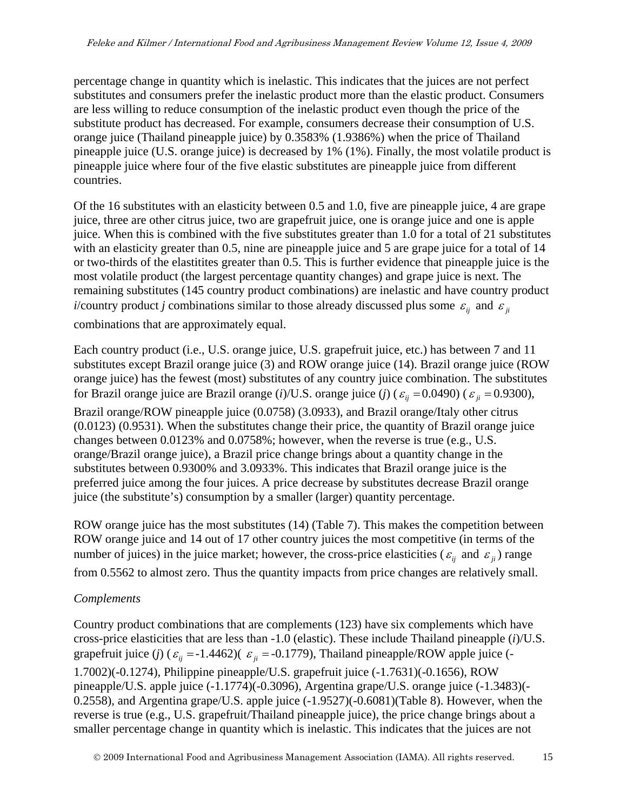percentage change in quantity which is inelastic. This indicates that the juices are not perfect substitutes and consumers prefer the inelastic product more than the elastic product. Consumers are less willing to reduce consumption of the inelastic product even though the price of the substitute product has decreased. For example, consumers decrease their consumption of U.S. orange juice (Thailand pineapple juice) by 0.3583% (1.9386%) when the price of Thailand pineapple juice (U.S. orange juice) is decreased by 1% (1%). Finally, the most volatile product is pineapple juice where four of the five elastic substitutes are pineapple juice from different countries.

Of the 16 substitutes with an elasticity between 0.5 and 1.0, five are pineapple juice, 4 are grape juice, three are other citrus juice, two are grapefruit juice, one is orange juice and one is apple juice. When this is combined with the five substitutes greater than 1.0 for a total of 21 substitutes with an elasticity greater than 0.5, nine are pineapple juice and 5 are grape juice for a total of 14 or two-thirds of the elastitites greater than 0.5. This is further evidence that pineapple juice is the most volatile product (the largest percentage quantity changes) and grape juice is next. The remaining substitutes (145 country product combinations) are inelastic and have country product *i*/country product *j* combinations similar to those already discussed plus some  $\varepsilon_{ij}$  and  $\varepsilon_{ij}$ combinations that are approximately equal.

Each country product (i.e., U.S. orange juice, U.S. grapefruit juice, etc.) has between 7 and 11 substitutes except Brazil orange juice (3) and ROW orange juice (14). Brazil orange juice (ROW orange juice) has the fewest (most) substitutes of any country juice combination. The substitutes for Brazil orange juice are Brazil orange (*i*)/U.S. orange juice (*j*) ( $\varepsilon$ <sub>*ij*</sub> = 0.0490) ( $\varepsilon$ <sub>*ij*</sub> = 0.9300), Brazil orange/ROW pineapple juice (0.0758) (3.0933), and Brazil orange/Italy other citrus (0.0123) (0.9531). When the substitutes change their price, the quantity of Brazil orange juice changes between 0.0123% and 0.0758%; however, when the reverse is true (e.g., U.S. orange/Brazil orange juice), a Brazil price change brings about a quantity change in the substitutes between 0.9300% and 3.0933%. This indicates that Brazil orange juice is the preferred juice among the four juices. A price decrease by substitutes decrease Brazil orange juice (the substitute's) consumption by a smaller (larger) quantity percentage.

ROW orange juice has the most substitutes (14) (Table 7). This makes the competition between ROW orange juice and 14 out of 17 other country juices the most competitive (in terms of the number of juices) in the juice market; however, the cross-price elasticities ( $\varepsilon_{ij}$  and  $\varepsilon_{ji}$ ) range from 0.5562 to almost zero. Thus the quantity impacts from price changes are relatively small.

#### *Complements*

Country product combinations that are complements (123) have six complements which have cross-price elasticities that are less than -1.0 (elastic). These include Thailand pineapple (*i*)/U.S. grapefruit juice (*j*) ( $\varepsilon_{ii}$  = -1.4462)( $\varepsilon_{ii}$  = -0.1779), Thailand pineapple/ROW apple juice (-1.7002)(-0.1274), Philippine pineapple/U.S. grapefruit juice (-1.7631)(-0.1656), ROW pineapple/U.S. apple juice (-1.1774)(-0.3096), Argentina grape/U.S. orange juice (-1.3483)(- 0.2558), and Argentina grape/U.S. apple juice (-1.9527)(-0.6081)(Table 8). However, when the reverse is true (e.g., U.S. grapefruit/Thailand pineapple juice), the price change brings about a smaller percentage change in quantity which is inelastic. This indicates that the juices are not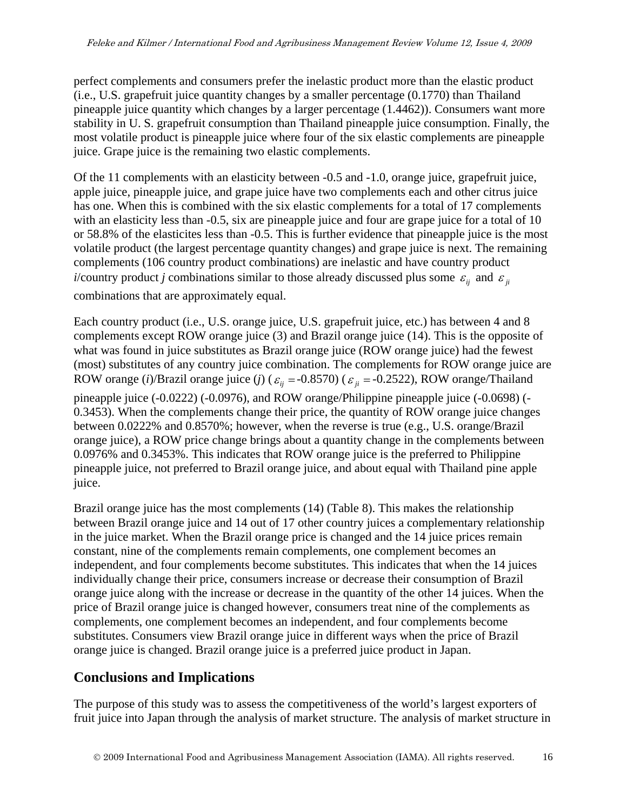perfect complements and consumers prefer the inelastic product more than the elastic product (i.e., U.S. grapefruit juice quantity changes by a smaller percentage (0.1770) than Thailand pineapple juice quantity which changes by a larger percentage (1.4462)). Consumers want more stability in U. S. grapefruit consumption than Thailand pineapple juice consumption. Finally, the most volatile product is pineapple juice where four of the six elastic complements are pineapple juice. Grape juice is the remaining two elastic complements.

Of the 11 complements with an elasticity between -0.5 and -1.0, orange juice, grapefruit juice, apple juice, pineapple juice, and grape juice have two complements each and other citrus juice has one. When this is combined with the six elastic complements for a total of 17 complements with an elasticity less than  $-0.5$ , six are pineapple juice and four are grape juice for a total of 10 or 58.8% of the elasticites less than -0.5. This is further evidence that pineapple juice is the most volatile product (the largest percentage quantity changes) and grape juice is next. The remaining complements (106 country product combinations) are inelastic and have country product *i*/country product *j* combinations similar to those already discussed plus some  $\varepsilon_{ij}$  and  $\varepsilon_{ij}$ 

combinations that are approximately equal.

Each country product (i.e., U.S. orange juice, U.S. grapefruit juice, etc.) has between 4 and 8 complements except ROW orange juice (3) and Brazil orange juice (14). This is the opposite of what was found in juice substitutes as Brazil orange juice (ROW orange juice) had the fewest (most) substitutes of any country juice combination. The complements for ROW orange juice are ROW orange (*i*)/Brazil orange juice (*j*) ( $\varepsilon$ <sub>*ij*</sub> = -0.8570) ( $\varepsilon$ <sub>*ji*</sub> = -0.2522), ROW orange/Thailand pineapple juice (-0.0222) (-0.0976), and ROW orange/Philippine pineapple juice (-0.0698) (- 0.3453). When the complements change their price, the quantity of ROW orange juice changes between 0.0222% and 0.8570%; however, when the reverse is true (e.g., U.S. orange/Brazil orange juice), a ROW price change brings about a quantity change in the complements between 0.0976% and 0.3453%. This indicates that ROW orange juice is the preferred to Philippine pineapple juice, not preferred to Brazil orange juice, and about equal with Thailand pine apple juice.

Brazil orange juice has the most complements (14) (Table 8). This makes the relationship between Brazil orange juice and 14 out of 17 other country juices a complementary relationship in the juice market. When the Brazil orange price is changed and the 14 juice prices remain constant, nine of the complements remain complements, one complement becomes an independent, and four complements become substitutes. This indicates that when the 14 juices individually change their price, consumers increase or decrease their consumption of Brazil orange juice along with the increase or decrease in the quantity of the other 14 juices. When the price of Brazil orange juice is changed however, consumers treat nine of the complements as complements, one complement becomes an independent, and four complements become substitutes. Consumers view Brazil orange juice in different ways when the price of Brazil orange juice is changed. Brazil orange juice is a preferred juice product in Japan.

## **Conclusions and Implications**

The purpose of this study was to assess the competitiveness of the world's largest exporters of fruit juice into Japan through the analysis of market structure. The analysis of market structure in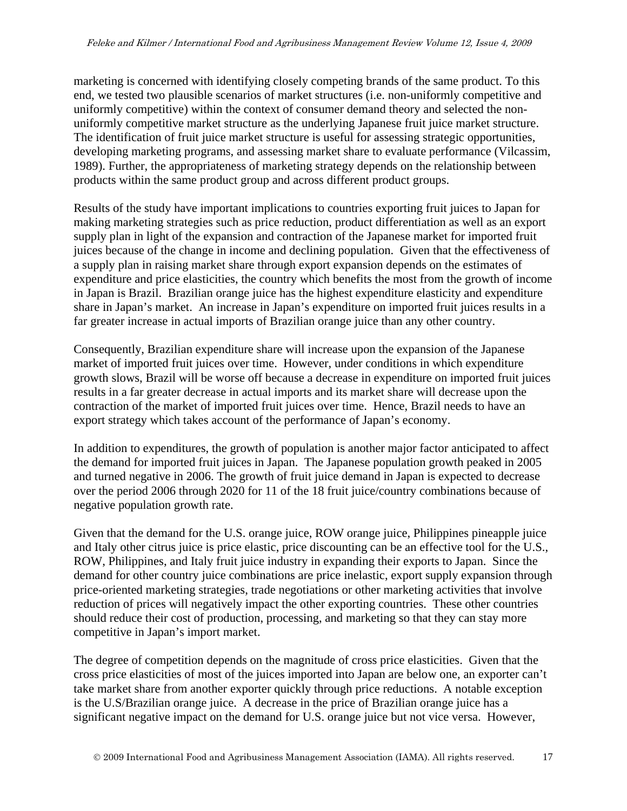marketing is concerned with identifying closely competing brands of the same product. To this end, we tested two plausible scenarios of market structures (i.e. non-uniformly competitive and uniformly competitive) within the context of consumer demand theory and selected the nonuniformly competitive market structure as the underlying Japanese fruit juice market structure. The identification of fruit juice market structure is useful for assessing strategic opportunities, developing marketing programs, and assessing market share to evaluate performance (Vilcassim, 1989). Further, the appropriateness of marketing strategy depends on the relationship between products within the same product group and across different product groups.

Results of the study have important implications to countries exporting fruit juices to Japan for making marketing strategies such as price reduction, product differentiation as well as an export supply plan in light of the expansion and contraction of the Japanese market for imported fruit juices because of the change in income and declining population. Given that the effectiveness of a supply plan in raising market share through export expansion depends on the estimates of expenditure and price elasticities, the country which benefits the most from the growth of income in Japan is Brazil. Brazilian orange juice has the highest expenditure elasticity and expenditure share in Japan's market. An increase in Japan's expenditure on imported fruit juices results in a far greater increase in actual imports of Brazilian orange juice than any other country.

Consequently, Brazilian expenditure share will increase upon the expansion of the Japanese market of imported fruit juices over time. However, under conditions in which expenditure growth slows, Brazil will be worse off because a decrease in expenditure on imported fruit juices results in a far greater decrease in actual imports and its market share will decrease upon the contraction of the market of imported fruit juices over time. Hence, Brazil needs to have an export strategy which takes account of the performance of Japan's economy.

In addition to expenditures, the growth of population is another major factor anticipated to affect the demand for imported fruit juices in Japan. The Japanese population growth peaked in 2005 and turned negative in 2006. The growth of fruit juice demand in Japan is expected to decrease over the period 2006 through 2020 for 11 of the 18 fruit juice/country combinations because of negative population growth rate.

Given that the demand for the U.S. orange juice, ROW orange juice, Philippines pineapple juice and Italy other citrus juice is price elastic, price discounting can be an effective tool for the U.S., ROW, Philippines, and Italy fruit juice industry in expanding their exports to Japan. Since the demand for other country juice combinations are price inelastic, export supply expansion through price-oriented marketing strategies, trade negotiations or other marketing activities that involve reduction of prices will negatively impact the other exporting countries. These other countries should reduce their cost of production, processing, and marketing so that they can stay more competitive in Japan's import market.

The degree of competition depends on the magnitude of cross price elasticities. Given that the cross price elasticities of most of the juices imported into Japan are below one, an exporter can't take market share from another exporter quickly through price reductions. A notable exception is the U.S/Brazilian orange juice. A decrease in the price of Brazilian orange juice has a significant negative impact on the demand for U.S. orange juice but not vice versa. However,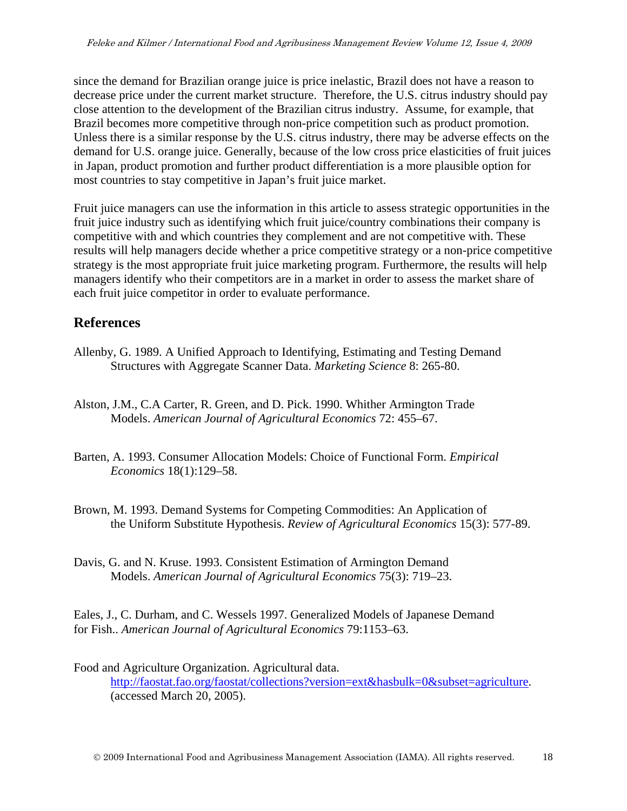since the demand for Brazilian orange juice is price inelastic, Brazil does not have a reason to decrease price under the current market structure. Therefore, the U.S. citrus industry should pay close attention to the development of the Brazilian citrus industry. Assume, for example, that Brazil becomes more competitive through non-price competition such as product promotion. Unless there is a similar response by the U.S. citrus industry, there may be adverse effects on the demand for U.S. orange juice. Generally, because of the low cross price elasticities of fruit juices in Japan, product promotion and further product differentiation is a more plausible option for most countries to stay competitive in Japan's fruit juice market.

Fruit juice managers can use the information in this article to assess strategic opportunities in the fruit juice industry such as identifying which fruit juice/country combinations their company is competitive with and which countries they complement and are not competitive with. These results will help managers decide whether a price competitive strategy or a non-price competitive strategy is the most appropriate fruit juice marketing program. Furthermore, the results will help managers identify who their competitors are in a market in order to assess the market share of each fruit juice competitor in order to evaluate performance.

## **References**

- Allenby, G. 1989. A Unified Approach to Identifying, Estimating and Testing Demand Structures with Aggregate Scanner Data. *Marketing Science* 8: 265-80.
- Alston, J.M., C.A Carter, R. Green, and D. Pick. 1990. Whither Armington Trade Models. *American Journal of Agricultural Economics* 72: 455–67.
- Barten, A. 1993. Consumer Allocation Models: Choice of Functional Form. *Empirical Economics* 18(1):129–58.
- Brown, M. 1993. Demand Systems for Competing Commodities: An Application of the Uniform Substitute Hypothesis. *Review of Agricultural Economics* 15(3): 577-89.
- Davis, G. and N. Kruse. 1993. Consistent Estimation of Armington Demand Models. *American Journal of Agricultural Economics* 75(3): 719–23.

Eales, J., C. Durham, and C. Wessels 1997. Generalized Models of Japanese Demand for Fish.. *American Journal of Agricultural Economics* 79:1153–63.

Food and Agriculture Organization. Agricultural data. [http://faostat.fao.org/faostat/collections?version=ext&hasbulk=0&subset=agriculture.](http://faostat.fao.org/faostat/collections?version=ext&hasbulk=0&subset=agriculture) (accessed March 20, 2005).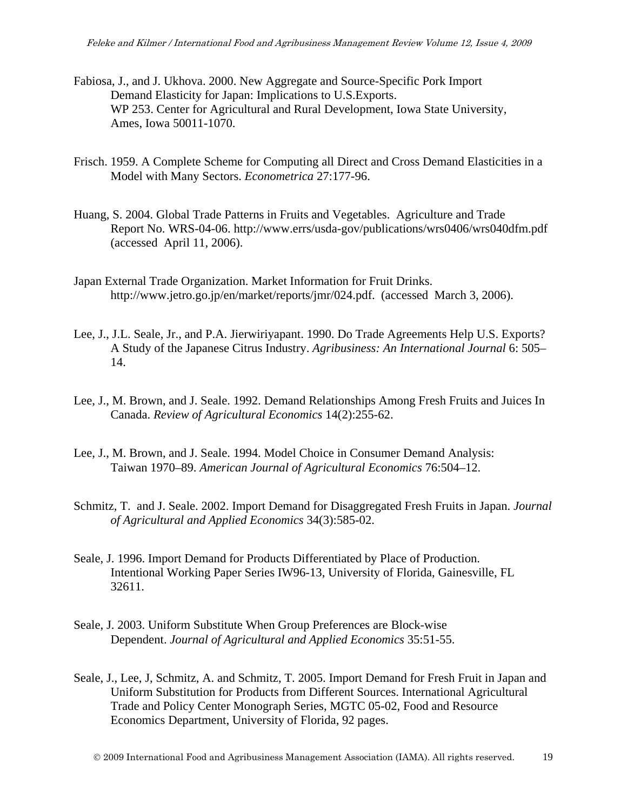- Fabiosa, J., and J. Ukhova. 2000. New Aggregate and Source-Specific Pork Import Demand Elasticity for Japan: Implications to U.S.Exports. WP 253. Center for Agricultural and Rural Development, Iowa State University, Ames, Iowa 50011-1070.
- Frisch. 1959. A Complete Scheme for Computing all Direct and Cross Demand Elasticities in a Model with Many Sectors. *Econometrica* 27:177-96.
- Huang, S. 2004. Global Trade Patterns in Fruits and Vegetables. Agriculture and Trade Report No. WRS-04-06. http://www.errs/usda-gov/publications/wrs0406/wrs040dfm.pdf (accessed April 11, 2006).
- Japan External Trade Organization. Market Information for Fruit Drinks. http://www.jetro.go.jp/en/market/reports/jmr/024.pdf. (accessed March 3, 2006).
- Lee, J., J.L. Seale, Jr., and P.A. Jierwiriyapant. 1990. Do Trade Agreements Help U.S. Exports? A Study of the Japanese Citrus Industry. *Agribusiness: An International Journal* 6: 505– 14.
- Lee, J., M. Brown, and J. Seale. 1992. Demand Relationships Among Fresh Fruits and Juices In Canada. *Review of Agricultural Economics* 14(2):255-62.
- Lee, J., M. Brown, and J. Seale. 1994. Model Choice in Consumer Demand Analysis: Taiwan 1970–89. *American Journal of Agricultural Economics* 76:504–12.
- Schmitz, T. and J. Seale. 2002. Import Demand for Disaggregated Fresh Fruits in Japan. *Journal of Agricultural and Applied Economics* 34(3):585-02.
- Seale, J. 1996. Import Demand for Products Differentiated by Place of Production. Intentional Working Paper Series IW96-13, University of Florida, Gainesville, FL 32611.
- Seale, J. 2003. Uniform Substitute When Group Preferences are Block-wise Dependent. *Journal of Agricultural and Applied Economics* 35:51-55.
- Seale, J., Lee, J, Schmitz, A. and Schmitz, T. 2005. Import Demand for Fresh Fruit in Japan and Uniform Substitution for Products from Different Sources. International Agricultural Trade and Policy Center Monograph Series, MGTC 05-02, Food and Resource Economics Department, University of Florida, 92 pages.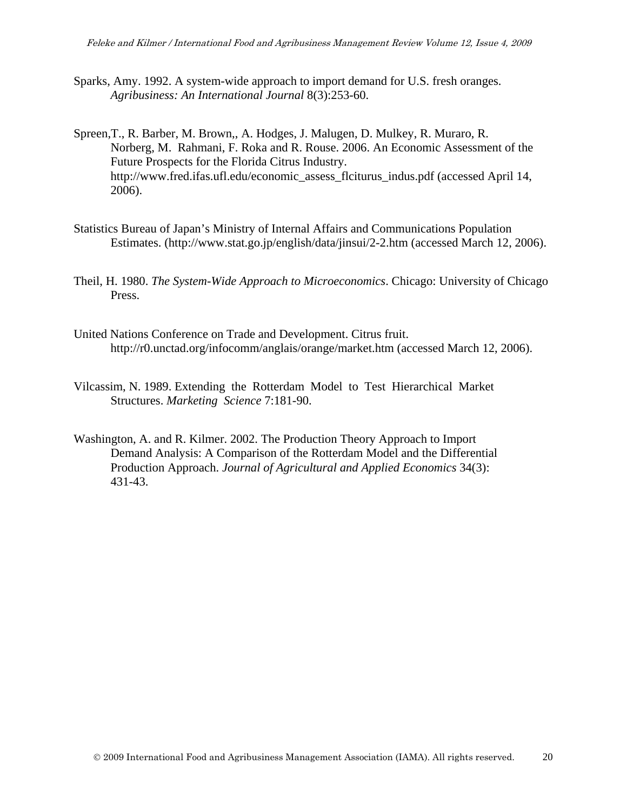- Sparks, Amy. 1992. A system-wide approach to import demand for U.S. fresh oranges. *Agribusiness: An International Journal* 8(3):253-60.
- Spreen,T., R. Barber, M. Brown,, A. Hodges, J. Malugen, D. Mulkey, R. Muraro, R. Norberg, M. Rahmani, F. Roka and R. Rouse. 2006. An Economic Assessment of the Future Prospects for the Florida Citrus Industry. http://www.fred.ifas.ufl.edu/economic\_assess\_flciturus\_indus.pdf (accessed April 14, 2006).
- Statistics Bureau of Japan's Ministry of Internal Affairs and Communications Population Estimates. (http://www.stat.go.jp/english/data/jinsui/2-2.htm (accessed March 12, 2006).
- Theil, H. 1980. *The System-Wide Approach to Microeconomics*. Chicago: University of Chicago Press.
- United Nations Conference on Trade and Development. Citrus fruit. http://r0.unctad.org/infocomm/anglais/orange/market.htm (accessed March 12, 2006).
- Vilcassim, N. 1989. Extending the Rotterdam Model to Test Hierarchical Market Structures. *Marketing Science* 7:181-90.
- Washington, A. and R. Kilmer. 2002. The Production Theory Approach to Import Demand Analysis: A Comparison of the Rotterdam Model and the Differential Production Approach. *Journal of Agricultural and Applied Economics* 34(3): 431-43.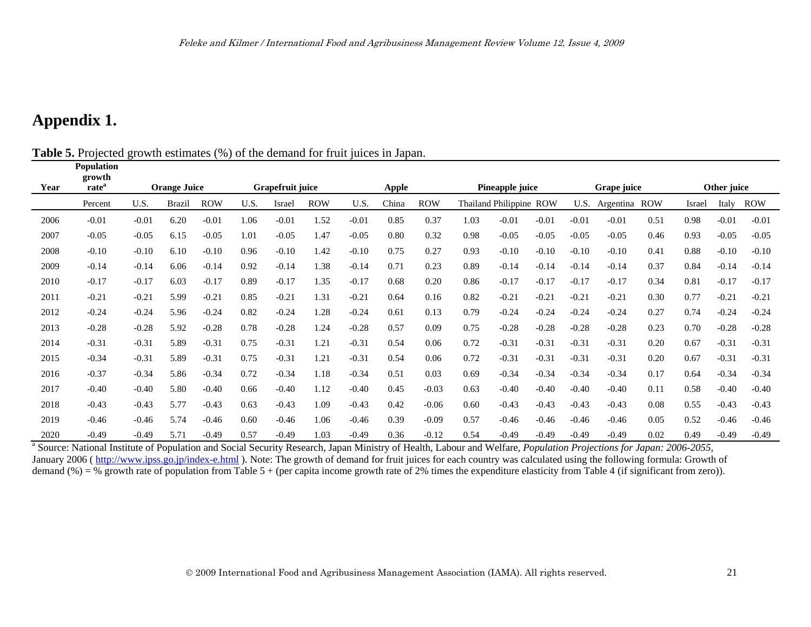## **Appendix 1.**

**Population** 

**Table 5.** Projected growth estimates (%) of the demand for fruit juices in Japan.

|      | 1 оршиноп<br>growth |         |                     |            |      |                  |            |         |       |            |      |                         |         |         |             |            |        |             |            |
|------|---------------------|---------|---------------------|------------|------|------------------|------------|---------|-------|------------|------|-------------------------|---------|---------|-------------|------------|--------|-------------|------------|
| Year | rateª               |         | <b>Orange Juice</b> |            |      | Grapefruit juice |            |         | Apple |            |      | Pineapple juice         |         |         | Grape juice |            |        | Other juice |            |
|      | Percent             | U.S.    | Brazil              | <b>ROW</b> | U.S. | Israel           | <b>ROW</b> | U.S.    | China | <b>ROW</b> |      | Thailand Philippine ROW |         | U.S.    | Argentina   | <b>ROW</b> | Israel | Italy       | <b>ROW</b> |
| 2006 | $-0.01$             | $-0.01$ | 6.20                | $-0.01$    | 1.06 | $-0.01$          | 1.52       | $-0.01$ | 0.85  | 0.37       | 1.03 | $-0.01$                 | $-0.01$ | $-0.01$ | $-0.01$     | 0.51       | 0.98   | $-0.01$     | $-0.01$    |
| 2007 | $-0.05$             | $-0.05$ | 6.15                | $-0.05$    | 1.01 | $-0.05$          | 1.47       | $-0.05$ | 0.80  | 0.32       | 0.98 | $-0.05$                 | $-0.05$ | $-0.05$ | $-0.05$     | 0.46       | 0.93   | $-0.05$     | $-0.05$    |
| 2008 | $-0.10$             | $-0.10$ | 6.10                | $-0.10$    | 0.96 | $-0.10$          | 1.42       | $-0.10$ | 0.75  | 0.27       | 0.93 | $-0.10$                 | $-0.10$ | $-0.10$ | $-0.10$     | 0.41       | 0.88   | $-0.10$     | $-0.10$    |
| 2009 | $-0.14$             | $-0.14$ | 6.06                | $-0.14$    | 0.92 | $-0.14$          | 1.38       | $-0.14$ | 0.71  | 0.23       | 0.89 | $-0.14$                 | $-0.14$ | $-0.14$ | $-0.14$     | 0.37       | 0.84   | $-0.14$     | $-0.14$    |
| 2010 | $-0.17$             | $-0.17$ | 6.03                | $-0.17$    | 0.89 | $-0.17$          | 1.35       | $-0.17$ | 0.68  | 0.20       | 0.86 | $-0.17$                 | $-0.17$ | $-0.17$ | $-0.17$     | 0.34       | 0.81   | $-0.17$     | $-0.17$    |
| 2011 | $-0.21$             | $-0.21$ | 5.99                | $-0.21$    | 0.85 | $-0.21$          | 1.31       | $-0.21$ | 0.64  | 0.16       | 0.82 | $-0.21$                 | $-0.21$ | $-0.21$ | $-0.21$     | 0.30       | 0.77   | $-0.21$     | $-0.21$    |
| 2012 | $-0.24$             | $-0.24$ | 5.96                | $-0.24$    | 0.82 | $-0.24$          | 1.28       | $-0.24$ | 0.61  | 0.13       | 0.79 | $-0.24$                 | $-0.24$ | $-0.24$ | $-0.24$     | 0.27       | 0.74   | $-0.24$     | $-0.24$    |
| 2013 | $-0.28$             | $-0.28$ | 5.92                | $-0.28$    | 0.78 | $-0.28$          | 1.24       | $-0.28$ | 0.57  | 0.09       | 0.75 | $-0.28$                 | $-0.28$ | $-0.28$ | $-0.28$     | 0.23       | 0.70   | $-0.28$     | $-0.28$    |
| 2014 | $-0.31$             | $-0.31$ | 5.89                | $-0.31$    | 0.75 | $-0.31$          | 1.21       | $-0.31$ | 0.54  | 0.06       | 0.72 | $-0.31$                 | $-0.31$ | $-0.31$ | $-0.31$     | 0.20       | 0.67   | $-0.31$     | $-0.31$    |
| 2015 | $-0.34$             | $-0.31$ | 5.89                | $-0.31$    | 0.75 | $-0.31$          | 1.21       | $-0.31$ | 0.54  | 0.06       | 0.72 | $-0.31$                 | $-0.31$ | $-0.31$ | $-0.31$     | 0.20       | 0.67   | $-0.31$     | $-0.31$    |
| 2016 | $-0.37$             | $-0.34$ | 5.86                | $-0.34$    | 0.72 | $-0.34$          | 1.18       | $-0.34$ | 0.51  | 0.03       | 0.69 | $-0.34$                 | $-0.34$ | $-0.34$ | $-0.34$     | 0.17       | 0.64   | $-0.34$     | $-0.34$    |
| 2017 | $-0.40$             | $-0.40$ | 5.80                | $-0.40$    | 0.66 | $-0.40$          | 1.12       | $-0.40$ | 0.45  | $-0.03$    | 0.63 | $-0.40$                 | $-0.40$ | $-0.40$ | $-0.40$     | 0.11       | 0.58   | $-0.40$     | $-0.40$    |
| 2018 | $-0.43$             | $-0.43$ | 5.77                | $-0.43$    | 0.63 | $-0.43$          | 1.09       | $-0.43$ | 0.42  | $-0.06$    | 0.60 | $-0.43$                 | $-0.43$ | $-0.43$ | $-0.43$     | 0.08       | 0.55   | $-0.43$     | $-0.43$    |
| 2019 | $-0.46$             | $-0.46$ | 5.74                | $-0.46$    | 0.60 | $-0.46$          | 1.06       | $-0.46$ | 0.39  | $-0.09$    | 0.57 | $-0.46$                 | $-0.46$ | $-0.46$ | $-0.46$     | 0.05       | 0.52   | $-0.46$     | $-0.46$    |
| 2020 | $-0.49$             | $-0.49$ | 5.71                | $-0.49$    | 0.57 | $-0.49$          | 1.03       | $-0.49$ | 0.36  | $-0.12$    | 0.54 | $-0.49$                 | $-0.49$ | $-0.49$ | $-0.49$     | 0.02       | 0.49   | $-0.49$     | $-0.49$    |

<sup>a</sup> Source: National Institute of Population and Social Security Research, Japan Ministry of Health, Labour and Welfare, *Population Projections for Japan: 2006-2055*, January 2006 (http://www.ipss.go.jp/index-e.html). Note: The growth of demand for fruit juices for each country was calculated using the following formula: Growth of demand (%) = % growth rate of population from Table 5 + (per capita income growth rate of 2% times the expenditure elasticity from Table 4 (if significant from zero)).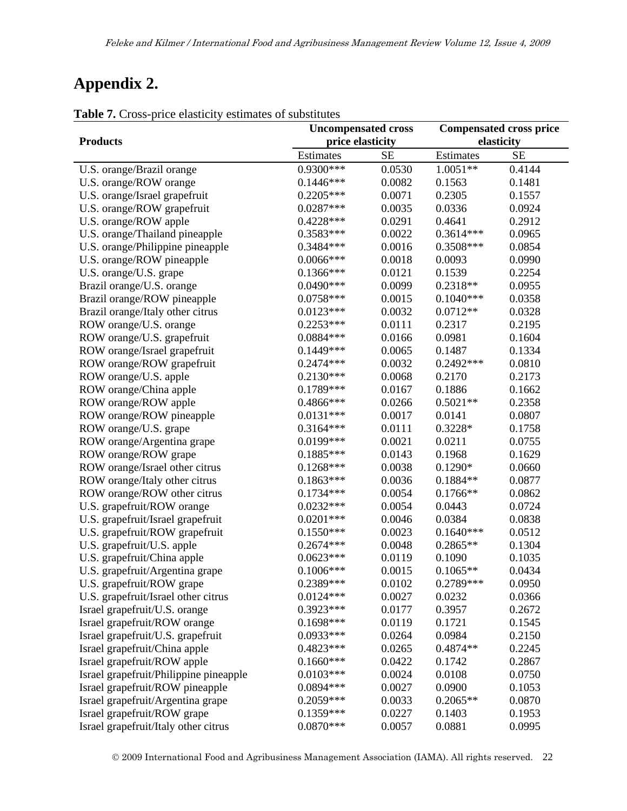# **Appendix 2.**

| $\cdots$<br>Price chaptier             | $\frac{1}{2}$<br><b>Uncompensated cross</b> |           | <b>Compensated cross price</b> |           |  |  |
|----------------------------------------|---------------------------------------------|-----------|--------------------------------|-----------|--|--|
| <b>Products</b>                        | price elasticity                            |           | elasticity                     |           |  |  |
|                                        | Estimates                                   | <b>SE</b> | Estimates                      | <b>SE</b> |  |  |
| U.S. orange/Brazil orange              | 0.9300***                                   | 0.0530    | $1.0051**$                     | 0.4144    |  |  |
| U.S. orange/ROW orange                 | $0.1446***$                                 | 0.0082    | 0.1563                         | 0.1481    |  |  |
| U.S. orange/Israel grapefruit          | $0.2205***$                                 | 0.0071    | 0.2305                         | 0.1557    |  |  |
| U.S. orange/ROW grapefruit             | $0.0287***$                                 | 0.0035    | 0.0336                         | 0.0924    |  |  |
| U.S. orange/ROW apple                  | $0.4228***$                                 | 0.0291    | 0.4641                         | 0.2912    |  |  |
| U.S. orange/Thailand pineapple         | 0.3583***                                   | 0.0022    | $0.3614***$                    | 0.0965    |  |  |
| U.S. orange/Philippine pineapple       | 0.3484 ***                                  | 0.0016    | 0.3508***                      | 0.0854    |  |  |
| U.S. orange/ROW pineapple              | $0.0066***$                                 | 0.0018    | 0.0093                         | 0.0990    |  |  |
| U.S. orange/U.S. grape                 | $0.1366***$                                 | 0.0121    | 0.1539                         | 0.2254    |  |  |
| Brazil orange/U.S. orange              | $0.0490***$                                 | 0.0099    | $0.2318**$                     | 0.0955    |  |  |
| Brazil orange/ROW pineapple            | $0.0758***$                                 | 0.0015    | $0.1040***$                    | 0.0358    |  |  |
| Brazil orange/Italy other citrus       | $0.0123***$                                 | 0.0032    | $0.0712**$                     | 0.0328    |  |  |
| ROW orange/U.S. orange                 | $0.2253***$                                 | 0.0111    | 0.2317                         | 0.2195    |  |  |
| ROW orange/U.S. grapefruit             | 0.0884 ***                                  | 0.0166    | 0.0981                         | 0.1604    |  |  |
| ROW orange/Israel grapefruit           | $0.1449***$                                 | 0.0065    | 0.1487                         | 0.1334    |  |  |
| ROW orange/ROW grapefruit              | $0.2474***$                                 | 0.0032    | $0.2492***$                    | 0.0810    |  |  |
| ROW orange/U.S. apple                  | $0.2130***$                                 | 0.0068    | 0.2170                         | 0.2173    |  |  |
| ROW orange/China apple                 | $0.1789***$                                 | 0.0167    | 0.1886                         | 0.1662    |  |  |
| ROW orange/ROW apple                   | 0.4866***                                   | 0.0266    | $0.5021**$                     | 0.2358    |  |  |
| ROW orange/ROW pineapple               | $0.0131***$                                 | 0.0017    | 0.0141                         | 0.0807    |  |  |
| ROW orange/U.S. grape                  | $0.3164***$                                 | 0.0111    | $0.3228*$                      | 0.1758    |  |  |
| ROW orange/Argentina grape             | 0.0199***                                   | 0.0021    | 0.0211                         | 0.0755    |  |  |
| ROW orange/ROW grape                   | $0.1885***$                                 | 0.0143    | 0.1968                         | 0.1629    |  |  |
| ROW orange/Israel other citrus         | $0.1268***$                                 | 0.0038    | $0.1290*$                      | 0.0660    |  |  |
| ROW orange/Italy other citrus          | $0.1863***$                                 | 0.0036    | $0.1884**$                     | 0.0877    |  |  |
| ROW orange/ROW other citrus            | $0.1734***$                                 | 0.0054    | $0.1766**$                     | 0.0862    |  |  |
| U.S. grapefruit/ROW orange             | $0.0232***$                                 | 0.0054    | 0.0443                         | 0.0724    |  |  |
| U.S. grapefruit/Israel grapefruit      | $0.0201***$                                 | 0.0046    | 0.0384                         | 0.0838    |  |  |
| U.S. grapefruit/ROW grapefruit         | $0.1550***$                                 | 0.0023    | $0.1640***$                    | 0.0512    |  |  |
| U.S. grapefruit/U.S. apple             | $0.2674***$                                 | 0.0048    | $0.2865**$                     | 0.1304    |  |  |
| U.S. grapefruit/China apple            | $0.0623***$                                 | 0.0119    | 0.1090                         | 0.1035    |  |  |
| U.S. grapefruit/Argentina grape        | $0.1006***$                                 | 0.0015    | $0.1065**$                     | 0.0434    |  |  |
| U.S. grapefruit/ROW grape              | 0.2389***                                   | 0.0102    | 0.2789***                      | 0.0950    |  |  |
| U.S. grapefruit/Israel other citrus    | $0.0124***$                                 | 0.0027    | 0.0232                         | 0.0366    |  |  |
| Israel grapefruit/U.S. orange          | 0.3923***                                   | 0.0177    | 0.3957                         | 0.2672    |  |  |
| Israel grapefruit/ROW orange           | $0.1698***$                                 | 0.0119    | 0.1721                         | 0.1545    |  |  |
| Israel grapefruit/U.S. grapefruit      | $0.0933***$                                 | 0.0264    | 0.0984                         | 0.2150    |  |  |
| Israel grapefruit/China apple          | 0.4823***                                   | 0.0265    | $0.4874**$                     | 0.2245    |  |  |
| Israel grapefruit/ROW apple            | $0.1660***$                                 | 0.0422    | 0.1742                         | 0.2867    |  |  |
| Israel grapefruit/Philippine pineapple | $0.0103***$                                 | 0.0024    | 0.0108                         | 0.0750    |  |  |
| Israel grapefruit/ROW pineapple        | 0.0894 ***                                  | 0.0027    | 0.0900                         | 0.1053    |  |  |
| Israel grapefruit/Argentina grape      | $0.2059***$                                 | 0.0033    | $0.2065**$                     | 0.0870    |  |  |
| Israel grapefruit/ROW grape            | $0.1359***$                                 | 0.0227    | 0.1403                         | 0.1953    |  |  |
| Israel grapefruit/Italy other citrus   | $0.0870***$                                 | 0.0057    | 0.0881                         | 0.0995    |  |  |

**Table 7.** Cross-price elasticity estimates of substitutes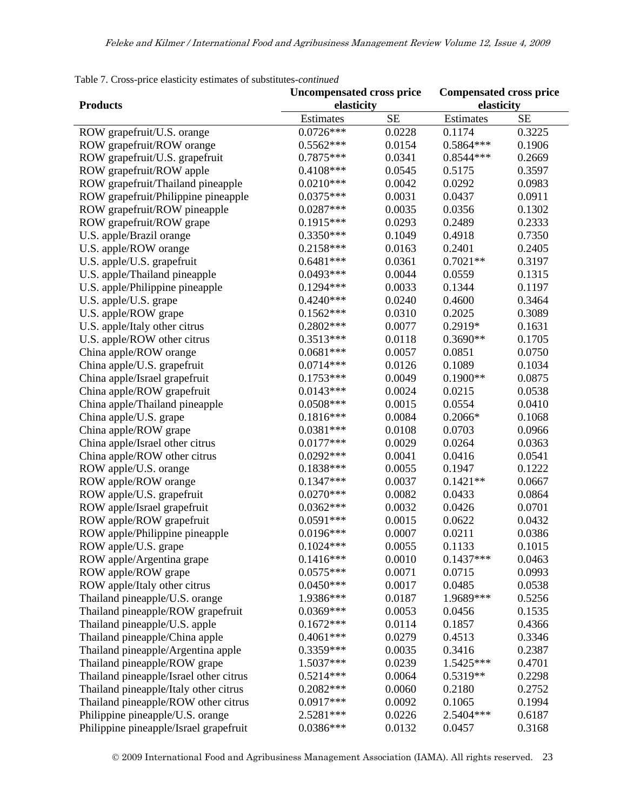|                                        | <b>Uncompensated cross price</b> |           | <b>Compensated cross price</b> |           |  |
|----------------------------------------|----------------------------------|-----------|--------------------------------|-----------|--|
| <b>Products</b>                        | elasticity                       |           | elasticity                     |           |  |
|                                        | Estimates                        | <b>SE</b> | Estimates                      | <b>SE</b> |  |
| ROW grapefruit/U.S. orange             | $0.0726***$                      | 0.0228    | 0.1174                         | 0.3225    |  |
| ROW grapefruit/ROW orange              | $0.5562***$                      | 0.0154    | 0.5864 ***                     | 0.1906    |  |
| ROW grapefruit/U.S. grapefruit         | 0.7875***                        | 0.0341    | 0.8544 ***                     | 0.2669    |  |
| ROW grapefruit/ROW apple               | 0.4108***                        | 0.0545    | 0.5175                         | 0.3597    |  |
| ROW grapefruit/Thailand pineapple      | $0.0210***$                      | 0.0042    | 0.0292                         | 0.0983    |  |
| ROW grapefruit/Philippine pineapple    | $0.0375***$                      | 0.0031    | 0.0437                         | 0.0911    |  |
| ROW grapefruit/ROW pineapple           | $0.0287***$                      | 0.0035    | 0.0356                         | 0.1302    |  |
| ROW grapefruit/ROW grape               | $0.1915***$                      | 0.0293    | 0.2489                         | 0.2333    |  |
| U.S. apple/Brazil orange               | $0.3350***$                      | 0.1049    | 0.4918                         | 0.7350    |  |
| U.S. apple/ROW orange                  | $0.2158***$                      | 0.0163    | 0.2401                         | 0.2405    |  |
| U.S. apple/U.S. grapefruit             | $0.6481***$                      | 0.0361    | $0.7021**$                     | 0.3197    |  |
| U.S. apple/Thailand pineapple          | $0.0493***$                      | 0.0044    | 0.0559                         | 0.1315    |  |
| U.S. apple/Philippine pineapple        | $0.1294***$                      | 0.0033    | 0.1344                         | 0.1197    |  |
| U.S. apple/U.S. grape                  | $0.4240***$                      | 0.0240    | 0.4600                         | 0.3464    |  |
| U.S. apple/ROW grape                   | $0.1562***$                      | 0.0310    | 0.2025                         | 0.3089    |  |
| U.S. apple/Italy other citrus          | 0.2802 ***                       | 0.0077    | 0.2919*                        | 0.1631    |  |
| U.S. apple/ROW other citrus            | $0.3513***$                      | 0.0118    | $0.3690**$                     | 0.1705    |  |
| China apple/ROW orange                 | $0.0681***$                      | 0.0057    | 0.0851                         | 0.0750    |  |
| China apple/U.S. grapefruit            | $0.0714***$                      | 0.0126    | 0.1089                         | 0.1034    |  |
| China apple/Israel grapefruit          | $0.1753***$                      | 0.0049    | $0.1900**$                     | 0.0875    |  |
| China apple/ROW grapefruit             | $0.0143***$                      | 0.0024    | 0.0215                         | 0.0538    |  |
| China apple/Thailand pineapple         | $0.0508***$                      | 0.0015    | 0.0554                         | 0.0410    |  |
| China apple/U.S. grape                 | $0.1816***$                      | 0.0084    | $0.2066*$                      | 0.1068    |  |
| China apple/ROW grape                  | $0.0381***$                      | 0.0108    | 0.0703                         | 0.0966    |  |
| China apple/Israel other citrus        | $0.0177***$                      | 0.0029    | 0.0264                         | 0.0363    |  |
| China apple/ROW other citrus           | $0.0292***$                      | 0.0041    | 0.0416                         | 0.0541    |  |
| ROW apple/U.S. orange                  | 0.1838***                        | 0.0055    | 0.1947                         | 0.1222    |  |
| ROW apple/ROW orange                   | $0.1347***$                      | 0.0037    | $0.1421**$                     | 0.0667    |  |
| ROW apple/U.S. grapefruit              | $0.0270***$                      | 0.0082    | 0.0433                         | 0.0864    |  |
| ROW apple/Israel grapefruit            | $0.0362***$                      | 0.0032    | 0.0426                         | 0.0701    |  |
| ROW apple/ROW grapefruit               | $0.0591***$                      | 0.0015    | 0.0622                         | 0.0432    |  |
| ROW apple/Philippine pineapple         | $0.0196***$                      | 0.0007    | 0.0211                         | 0.0386    |  |
| ROW apple/U.S. grape                   | $0.1024***$                      | 0.0055    | 0.1133                         | 0.1015    |  |
| ROW apple/Argentina grape              | $0.1416***$                      | 0.0010    | $0.1437***$                    | 0.0463    |  |
| ROW apple/ROW grape                    | $0.0575***$                      | 0.0071    | 0.0715                         | 0.0993    |  |
| ROW apple/Italy other citrus           | $0.0450***$                      | 0.0017    | 0.0485                         | 0.0538    |  |
| Thailand pineapple/U.S. orange         | 1.9386***                        | 0.0187    | 1.9689***                      | 0.5256    |  |
| Thailand pineapple/ROW grapefruit      | 0.0369***                        | 0.0053    | 0.0456                         | 0.1535    |  |
| Thailand pineapple/U.S. apple          | $0.1672***$                      | 0.0114    | 0.1857                         | 0.4366    |  |
| Thailand pineapple/China apple         | $0.4061***$                      | 0.0279    | 0.4513                         | 0.3346    |  |
| Thailand pineapple/Argentina apple     | 0.3359***                        | 0.0035    | 0.3416                         | 0.2387    |  |
| Thailand pineapple/ROW grape           | 1.5037***                        | 0.0239    | 1.5425***                      | 0.4701    |  |
| Thailand pineapple/Israel other citrus | $0.5214***$                      | 0.0064    | $0.5319**$                     | 0.2298    |  |
| Thailand pineapple/Italy other citrus  | $0.2082***$                      | 0.0060    | 0.2180                         | 0.2752    |  |
| Thailand pineapple/ROW other citrus    | $0.0917***$                      | 0.0092    | 0.1065                         | 0.1994    |  |
| Philippine pineapple/U.S. orange       | 2.5281***                        | 0.0226    | 2.5404 ***                     | 0.6187    |  |
| Philippine pineapple/Israel grapefruit | 0.0386***                        | 0.0132    | 0.0457                         | 0.3168    |  |

Table 7. Cross-price elasticity estimates of substitutes*-continued*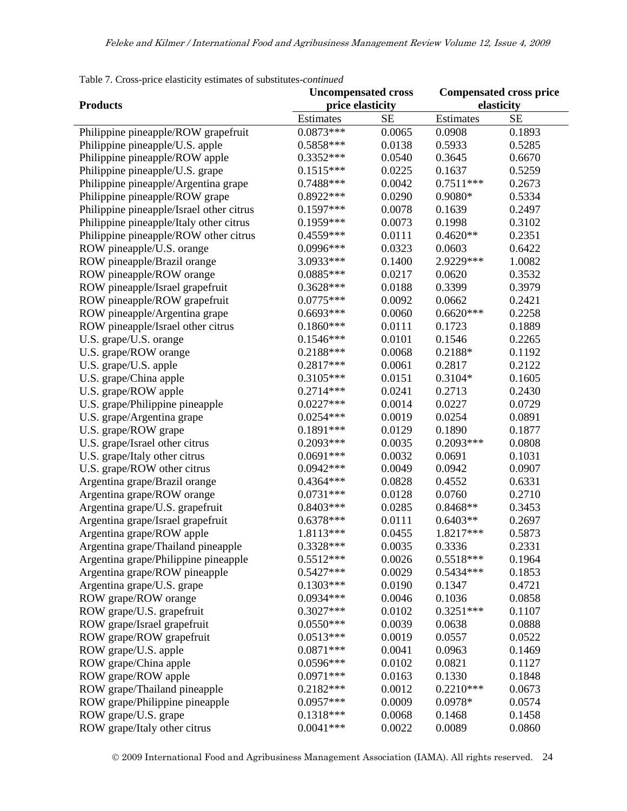|                                          | <b>Uncompensated cross</b> |           | <b>Compensated cross price</b> |           |  |
|------------------------------------------|----------------------------|-----------|--------------------------------|-----------|--|
| <b>Products</b>                          | price elasticity           |           | elasticity                     |           |  |
|                                          | Estimates                  | <b>SE</b> | Estimates                      | <b>SE</b> |  |
| Philippine pineapple/ROW grapefruit      | $0.0873***$                | 0.0065    | 0.0908                         | 0.1893    |  |
| Philippine pineapple/U.S. apple          | 0.5858***                  | 0.0138    | 0.5933                         | 0.5285    |  |
| Philippine pineapple/ROW apple           | $0.3352***$                | 0.0540    | 0.3645                         | 0.6670    |  |
| Philippine pineapple/U.S. grape          | $0.1515***$                | 0.0225    | 0.1637                         | 0.5259    |  |
| Philippine pineapple/Argentina grape     | 0.7488***                  | 0.0042    | $0.7511***$                    | 0.2673    |  |
| Philippine pineapple/ROW grape           | $0.8922***$                | 0.0290    | 0.9080*                        | 0.5334    |  |
| Philippine pineapple/Israel other citrus | $0.1597***$                | 0.0078    | 0.1639                         | 0.2497    |  |
| Philippine pineapple/Italy other citrus  | 0.1959***                  | 0.0073    | 0.1998                         | 0.3102    |  |
| Philippine pineapple/ROW other citrus    | 0.4559***                  | 0.0111    | $0.4620**$                     | 0.2351    |  |
| ROW pineapple/U.S. orange                | 0.0996***                  | 0.0323    | 0.0603                         | 0.6422    |  |
| ROW pineapple/Brazil orange              | 3.0933***                  | 0.1400    | 2.9229***                      | 1.0082    |  |
| ROW pineapple/ROW orange                 | $0.0885***$                | 0.0217    | 0.0620                         | 0.3532    |  |
| ROW pineapple/Israel grapefruit          | 0.3628***                  | 0.0188    | 0.3399                         | 0.3979    |  |
| ROW pineapple/ROW grapefruit             | $0.0775***$                | 0.0092    | 0.0662                         | 0.2421    |  |
| ROW pineapple/Argentina grape            | $0.6693***$                | 0.0060    | $0.6620***$                    | 0.2258    |  |
| ROW pineapple/Israel other citrus        | $0.1860***$                | 0.0111    | 0.1723                         | 0.1889    |  |
| U.S. grape/U.S. orange                   | $0.1546***$                | 0.0101    | 0.1546                         | 0.2265    |  |
| U.S. grape/ROW orange                    | 0.2188***                  | 0.0068    | 0.2188*                        | 0.1192    |  |
| U.S. grape/U.S. apple                    | 0.2817***                  | 0.0061    | 0.2817                         | 0.2122    |  |
| U.S. grape/China apple                   | $0.3105***$                | 0.0151    | 0.3104*                        | 0.1605    |  |
| U.S. grape/ROW apple                     | $0.2714***$                | 0.0241    | 0.2713                         | 0.2430    |  |
| U.S. grape/Philippine pineapple          | $0.0227***$                | 0.0014    | 0.0227                         | 0.0729    |  |
| U.S. grape/Argentina grape               | $0.0254***$                | 0.0019    | 0.0254                         | 0.0891    |  |
| U.S. grape/ROW grape                     | $0.1891***$                | 0.0129    | 0.1890                         | 0.1877    |  |
| U.S. grape/Israel other citrus           | 0.2093***                  | 0.0035    | $0.2093***$                    | 0.0808    |  |
| U.S. grape/Italy other citrus            | $0.0691***$                | 0.0032    | 0.0691                         | 0.1031    |  |
| U.S. grape/ROW other citrus              | $0.0942***$                | 0.0049    | 0.0942                         | 0.0907    |  |
| Argentina grape/Brazil orange            | 0.4364 ***                 | 0.0828    | 0.4552                         | 0.6331    |  |
| Argentina grape/ROW orange               | $0.0731***$                | 0.0128    | 0.0760                         | 0.2710    |  |
| Argentina grape/U.S. grapefruit          | $0.8403***$                | 0.0285    | $0.8468**$                     | 0.3453    |  |
| Argentina grape/Israel grapefruit        | $0.6378***$                | 0.0111    | $0.6403**$                     | 0.2697    |  |
| Argentina grape/ROW apple                | 1.8113***                  | 0.0455    | 1.8217***                      | 0.5873    |  |
| Argentina grape/Thailand pineapple       | 0.3328***                  | 0.0035    | 0.3336                         | 0.2331    |  |
| Argentina grape/Philippine pineapple     | $0.5512***$                | 0.0026    | $0.5518***$                    | 0.1964    |  |
| Argentina grape/ROW pineapple            | $0.5427***$                | 0.0029    | $0.5434***$                    | 0.1853    |  |
| Argentina grape/U.S. grape               | $0.1303***$                | 0.0190    | 0.1347                         | 0.4721    |  |
| ROW grape/ROW orange                     | 0.0934 ***                 | 0.0046    | 0.1036                         | 0.0858    |  |
| ROW grape/U.S. grapefruit                | $0.3027***$                | 0.0102    | $0.3251***$                    | 0.1107    |  |
| ROW grape/Israel grapefruit              | $0.0550***$                | 0.0039    | 0.0638                         | 0.0888    |  |
| ROW grape/ROW grapefruit                 | $0.0513***$                | 0.0019    | 0.0557                         | 0.0522    |  |
| ROW grape/U.S. apple                     | $0.0871***$                | 0.0041    | 0.0963                         | 0.1469    |  |
| ROW grape/China apple                    | 0.0596***                  | 0.0102    | 0.0821                         | 0.1127    |  |
| ROW grape/ROW apple                      | $0.0971***$                | 0.0163    | 0.1330                         | 0.1848    |  |
| ROW grape/Thailand pineapple             | $0.2182***$                | 0.0012    | $0.2210***$                    | 0.0673    |  |
| ROW grape/Philippine pineapple           | $0.0957***$                | 0.0009    | $0.0978*$                      | 0.0574    |  |
| ROW grape/U.S. grape                     | $0.1318***$                | 0.0068    | 0.1468                         | 0.1458    |  |
| ROW grape/Italy other citrus             | $0.0041***$                | 0.0022    | 0.0089                         | 0.0860    |  |

Table 7. Cross-price elasticity estimates of substitutes*-continued*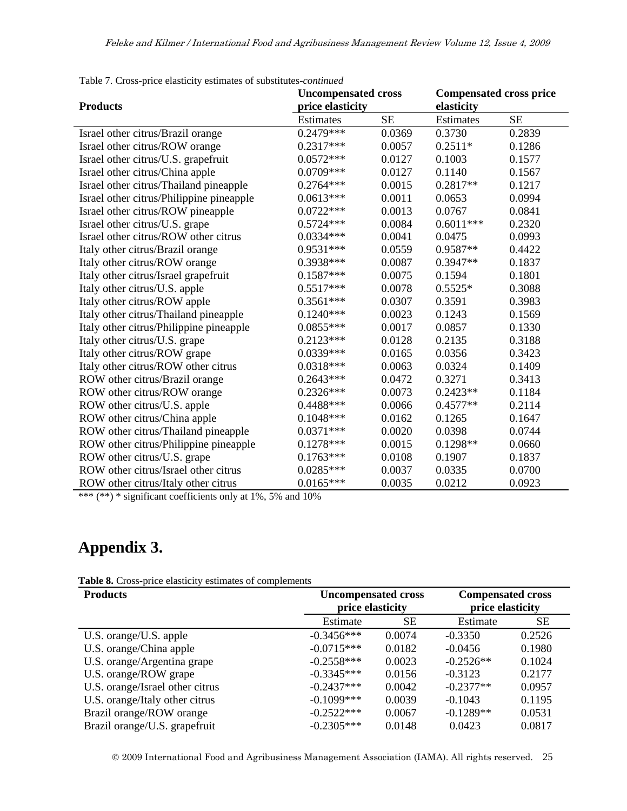| <b>Products</b>                          | <b>Uncompensated cross</b><br>price elasticity |           | <b>Compensated cross price</b><br>elasticity |           |  |
|------------------------------------------|------------------------------------------------|-----------|----------------------------------------------|-----------|--|
|                                          | <b>Estimates</b>                               | <b>SE</b> | Estimates                                    | <b>SE</b> |  |
| Israel other citrus/Brazil orange        | $0.2479***$                                    | 0.0369    | 0.3730                                       | 0.2839    |  |
| Israel other citrus/ROW orange           | $0.2317***$                                    | 0.0057    | $0.2511*$                                    | 0.1286    |  |
| Israel other citrus/U.S. grapefruit      | $0.0572***$                                    | 0.0127    | 0.1003                                       | 0.1577    |  |
| Israel other citrus/China apple          | 0.0709***                                      | 0.0127    | 0.1140                                       | 0.1567    |  |
| Israel other citrus/Thailand pineapple   | $0.2764***$                                    | 0.0015    | $0.2817**$                                   | 0.1217    |  |
| Israel other citrus/Philippine pineapple | $0.0613***$                                    | 0.0011    | 0.0653                                       | 0.0994    |  |
| Israel other citrus/ROW pineapple        | $0.0722***$                                    | 0.0013    | 0.0767                                       | 0.0841    |  |
| Israel other citrus/U.S. grape           | $0.5724***$                                    | 0.0084    | $0.6011***$                                  | 0.2320    |  |
| Israel other citrus/ROW other citrus     | $0.0334***$                                    | 0.0041    | 0.0475                                       | 0.0993    |  |
| Italy other citrus/Brazil orange         | $0.9531***$                                    | 0.0559    | 0.9587**                                     | 0.4422    |  |
| Italy other citrus/ROW orange            | 0.3938***                                      | 0.0087    | $0.3947**$                                   | 0.1837    |  |
| Italy other citrus/Israel grapefruit     | $0.1587***$                                    | 0.0075    | 0.1594                                       | 0.1801    |  |
| Italy other citrus/U.S. apple            | $0.5517***$                                    | 0.0078    | $0.5525*$                                    | 0.3088    |  |
| Italy other citrus/ROW apple             | $0.3561***$                                    | 0.0307    | 0.3591                                       | 0.3983    |  |
| Italy other citrus/Thailand pineapple    | $0.1240***$                                    | 0.0023    | 0.1243                                       | 0.1569    |  |
| Italy other citrus/Philippine pineapple  | $0.0855***$                                    | 0.0017    | 0.0857                                       | 0.1330    |  |
| Italy other citrus/U.S. grape            | $0.2123***$                                    | 0.0128    | 0.2135                                       | 0.3188    |  |
| Italy other citrus/ROW grape             | $0.0339***$                                    | 0.0165    | 0.0356                                       | 0.3423    |  |
| Italy other citrus/ROW other citrus      | $0.0318***$                                    | 0.0063    | 0.0324                                       | 0.1409    |  |
| ROW other citrus/Brazil orange           | $0.2643***$                                    | 0.0472    | 0.3271                                       | 0.3413    |  |
| ROW other citrus/ROW orange              | $0.2326***$                                    | 0.0073    | $0.2423**$                                   | 0.1184    |  |
| ROW other citrus/U.S. apple              | $0.4488***$                                    | 0.0066    | $0.4577**$                                   | 0.2114    |  |
| ROW other citrus/China apple             | $0.1048***$                                    | 0.0162    | 0.1265                                       | 0.1647    |  |
| ROW other citrus/Thailand pineapple      | $0.0371***$                                    | 0.0020    | 0.0398                                       | 0.0744    |  |
| ROW other citrus/Philippine pineapple    | $0.1278***$                                    | 0.0015    | $0.1298**$                                   | 0.0660    |  |
| ROW other citrus/U.S. grape              | $0.1763***$                                    | 0.0108    | 0.1907                                       | 0.1837    |  |
| ROW other citrus/Israel other citrus     | $0.0285***$                                    | 0.0037    | 0.0335                                       | 0.0700    |  |
| ROW other citrus/Italy other citrus      | $0.0165***$                                    | 0.0035    | 0.0212                                       | 0.0923    |  |

Table 7. Cross-price elasticity estimates of substitutes*-continued*

\*\*\* (\*\*) \* significant coefficients only at 1%, 5% and 10%

# **Appendix 3.**

| Table 8. Cross-price elasticity estimates of complements |  |  |  |  |
|----------------------------------------------------------|--|--|--|--|
|----------------------------------------------------------|--|--|--|--|

| <b>Products</b>                 | <b>Uncompensated cross</b> |           | <b>Compensated cross</b> |           |
|---------------------------------|----------------------------|-----------|--------------------------|-----------|
|                                 | price elasticity           |           | price elasticity         |           |
|                                 | Estimate                   | <b>SE</b> | Estimate                 | <b>SE</b> |
| U.S. orange/U.S. apple          | $-0.3456***$               | 0.0074    | $-0.3350$                | 0.2526    |
| U.S. orange/China apple         | $-0.0715***$               | 0.0182    | $-0.0456$                | 0.1980    |
| U.S. orange/Argentina grape     | $-0.2558***$               | 0.0023    | $-0.2526**$              | 0.1024    |
| U.S. orange/ROW grape           | $-0.3345***$               | 0.0156    | $-0.3123$                | 0.2177    |
| U.S. orange/Israel other citrus | $-0.2437***$               | 0.0042    | $-0.2377**$              | 0.0957    |
| U.S. orange/Italy other citrus  | $-0.1099***$               | 0.0039    | $-0.1043$                | 0.1195    |
| Brazil orange/ROW orange        | $-0.2522***$               | 0.0067    | $-0.1289**$              | 0.0531    |
| Brazil orange/U.S. grapefruit   | $-0.2305***$               | 0.0148    | 0.0423                   | 0.0817    |

2009 International Food and Agribusiness Management Association (IAMA). All rights reserved. 25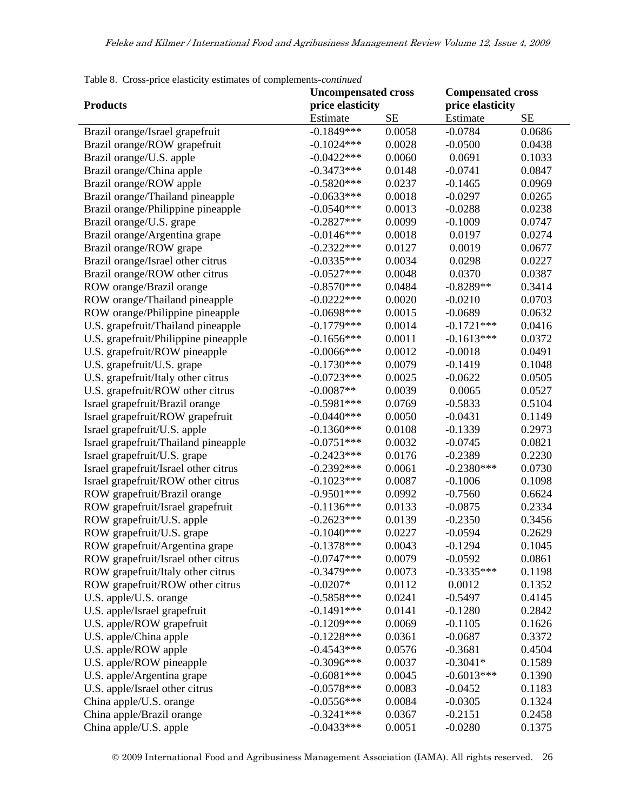| cross price enterity estimates of complements commune | <b>Uncompensated cross</b> |           | <b>Compensated cross</b> |        |
|-------------------------------------------------------|----------------------------|-----------|--------------------------|--------|
| <b>Products</b>                                       | price elasticity           |           | price elasticity         |        |
|                                                       | Estimate                   | <b>SE</b> | Estimate                 | SE     |
| Brazil orange/Israel grapefruit                       | $-0.1849***$               | 0.0058    | $-0.0784$                | 0.0686 |
| Brazil orange/ROW grapefruit                          | $-0.1024***$               | 0.0028    | $-0.0500$                | 0.0438 |
| Brazil orange/U.S. apple                              | $-0.0422***$               | 0.0060    | 0.0691                   | 0.1033 |
| Brazil orange/China apple                             | $-0.3473***$               | 0.0148    | $-0.0741$                | 0.0847 |
| Brazil orange/ROW apple                               | $-0.5820***$               | 0.0237    | $-0.1465$                | 0.0969 |
| Brazil orange/Thailand pineapple                      | $-0.0633***$               | 0.0018    | $-0.0297$                | 0.0265 |
| Brazil orange/Philippine pineapple                    | $-0.0540***$               | 0.0013    | $-0.0288$                | 0.0238 |
| Brazil orange/U.S. grape                              | $-0.2827***$               | 0.0099    | $-0.1009$                | 0.0747 |
| Brazil orange/Argentina grape                         | $-0.0146***$               | 0.0018    | 0.0197                   | 0.0274 |
| Brazil orange/ROW grape                               | $-0.2322***$               | 0.0127    | 0.0019                   | 0.0677 |
| Brazil orange/Israel other citrus                     | $-0.0335***$               | 0.0034    | 0.0298                   | 0.0227 |
| Brazil orange/ROW other citrus                        | $-0.0527***$               | 0.0048    | 0.0370                   | 0.0387 |
| ROW orange/Brazil orange                              | $-0.8570***$               | 0.0484    | $-0.8289**$              | 0.3414 |
| ROW orange/Thailand pineapple                         | $-0.0222***$               | 0.0020    | $-0.0210$                | 0.0703 |
| ROW orange/Philippine pineapple                       | $-0.0698***$               | 0.0015    | $-0.0689$                | 0.0632 |
| U.S. grapefruit/Thailand pineapple                    | $-0.1779***$               | 0.0014    | $-0.1721***$             | 0.0416 |
| U.S. grapefruit/Philippine pineapple                  | $-0.1656***$               | 0.0011    | $-0.1613***$             | 0.0372 |
| U.S. grapefruit/ROW pineapple                         | $-0.0066$ ***              | 0.0012    | $-0.0018$                | 0.0491 |
| U.S. grapefruit/U.S. grape                            | $-0.1730***$               | 0.0079    | $-0.1419$                | 0.1048 |
| U.S. grapefruit/Italy other citrus                    | $-0.0723***$               | 0.0025    | $-0.0622$                | 0.0505 |
| U.S. grapefruit/ROW other citrus                      | $-0.0087**$                | 0.0039    | 0.0065                   | 0.0527 |
| Israel grapefruit/Brazil orange                       | $-0.5981***$               | 0.0769    | $-0.5833$                | 0.5104 |
| Israel grapefruit/ROW grapefruit                      | $-0.0440***$               | 0.0050    | $-0.0431$                | 0.1149 |
| Israel grapefruit/U.S. apple                          | $-0.1360***$               | 0.0108    | $-0.1339$                | 0.2973 |
| Israel grapefruit/Thailand pineapple                  | $-0.0751***$               | 0.0032    | $-0.0745$                | 0.0821 |
| Israel grapefruit/U.S. grape                          | $-0.2423***$               | 0.0176    | $-0.2389$                | 0.2230 |
| Israel grapefruit/Israel other citrus                 | $-0.2392***$               | 0.0061    | $-0.2380***$             | 0.0730 |
| Israel grapefruit/ROW other citrus                    | $-0.1023***$               | 0.0087    | $-0.1006$                | 0.1098 |
| ROW grapefruit/Brazil orange                          | $-0.9501***$               | 0.0992    | $-0.7560$                | 0.6624 |
| ROW grapefruit/Israel grapefruit                      | $-0.1136***$               | 0.0133    | $-0.0875$                | 0.2334 |
| ROW grapefruit/U.S. apple                             | $-0.2623***$               | 0.0139    | $-0.2350$                | 0.3456 |
| ROW grapefruit/U.S. grape                             | $-0.1040***$               | 0.0227    | $-0.0594$                | 0.2629 |
| ROW grapefruit/Argentina grape                        | $-0.1378***$               | 0.0043    | $-0.1294$                | 0.1045 |
| ROW grapefruit/Israel other citrus                    | $-0.0747***$               | 0.0079    | $-0.0592$                | 0.0861 |
| ROW grapefruit/Italy other citrus                     | $-0.3479***$               | 0.0073    | $-0.3335***$             | 0.1198 |
| ROW grapefruit/ROW other citrus                       | $-0.0207*$                 | 0.0112    | 0.0012                   | 0.1352 |
| U.S. apple/U.S. orange                                | $-0.5858***$               | 0.0241    | $-0.5497$                | 0.4145 |
| U.S. apple/Israel grapefruit                          | $-0.1491***$               | 0.0141    | $-0.1280$                | 0.2842 |
| U.S. apple/ROW grapefruit                             | $-0.1209***$               | 0.0069    | $-0.1105$                | 0.1626 |
| U.S. apple/China apple                                | $-0.1228***$               | 0.0361    | $-0.0687$                | 0.3372 |
| U.S. apple/ROW apple                                  | $-0.4543***$               | 0.0576    | $-0.3681$                | 0.4504 |
| U.S. apple/ROW pineapple                              | $-0.3096***$               | 0.0037    | $-0.3041*$               | 0.1589 |
| U.S. apple/Argentina grape                            | $-0.6081***$               | 0.0045    | $-0.6013***$             | 0.1390 |
| U.S. apple/Israel other citrus                        | $-0.0578***$               | 0.0083    | $-0.0452$                | 0.1183 |
| China apple/U.S. orange                               | $-0.0556***$               | 0.0084    | $-0.0305$                | 0.1324 |
| China apple/Brazil orange                             | $-0.3241***$               | 0.0367    | $-0.2151$                | 0.2458 |
| China apple/U.S. apple                                | $-0.0433***$               | 0.0051    | $-0.0280$                | 0.1375 |

Table 8. Cross-price elasticity estimates of complements*-continued*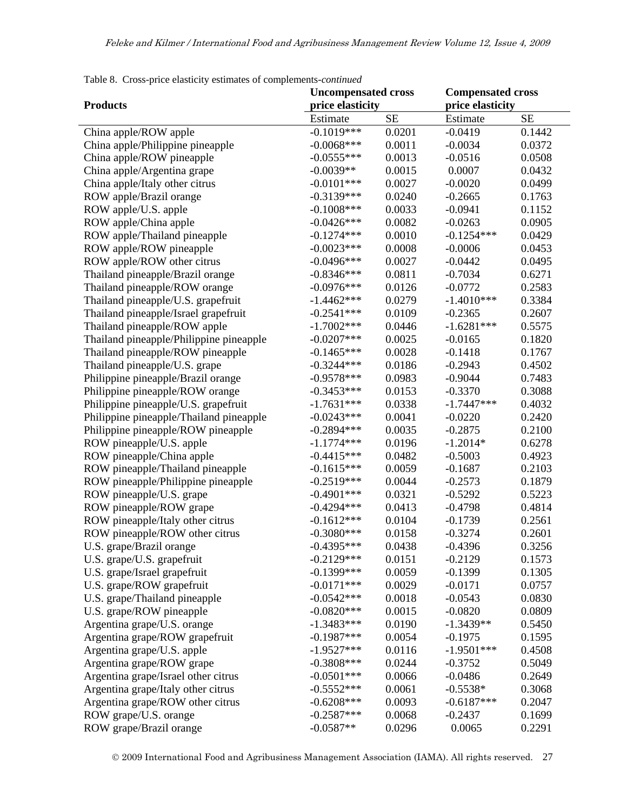| <b>Compensated cross</b><br><b>Uncompensated cross</b><br><b>Products</b><br>price elasticity<br>price elasticity<br><b>SE</b><br><b>SE</b><br>Estimate<br>Estimate<br>$-0.1019***$<br>0.0201<br>$-0.0419$<br>China apple/ROW apple<br>0.1442<br>$-0.0068***$<br>$-0.0034$<br>China apple/Philippine pineapple<br>0.0011<br>0.0372<br>$-0.0555***$<br>China apple/ROW pineapple<br>0.0013<br>$-0.0516$<br>0.0508<br>$-0.0039**$<br>0.0015<br>0.0007<br>0.0432<br>China apple/Argentina grape<br>$-0.0101***$<br>0.0027<br>$-0.0020$<br>China apple/Italy other citrus<br>0.0499<br>$-0.3139***$<br>0.0240<br>ROW apple/Brazil orange<br>$-0.2665$<br>0.1763<br>$-0.1008$ ***<br>0.0033<br>$-0.0941$<br>ROW apple/U.S. apple<br>0.1152<br>ROW apple/China apple<br>$-0.0426***$<br>0.0082<br>$-0.0263$<br>0.0905<br>$-0.1274***$<br>$-0.1254***$<br>ROW apple/Thailand pineapple<br>0.0010<br>0.0429<br>$-0.0023***$<br>0.0008<br>ROW apple/ROW pineapple<br>$-0.0006$<br>0.0453<br>$-0.0496***$<br>ROW apple/ROW other citrus<br>0.0027<br>$-0.0442$<br>0.0495<br>$-0.8346***$<br>0.6271<br>Thailand pineapple/Brazil orange<br>0.0811<br>$-0.7034$<br>$-0.0976***$<br>Thailand pineapple/ROW orange<br>0.0126<br>$-0.0772$<br>0.2583<br>$-1.4462***$<br>0.0279<br>$-1.4010***$<br>0.3384<br>Thailand pineapple/U.S. grapefruit<br>$-0.2541***$<br>0.0109<br>Thailand pineapple/Israel grapefruit<br>$-0.2365$<br>0.2607<br>$-1.7002***$<br>0.0446<br>$-1.6281***$<br>0.5575<br>Thailand pineapple/ROW apple |
|--------------------------------------------------------------------------------------------------------------------------------------------------------------------------------------------------------------------------------------------------------------------------------------------------------------------------------------------------------------------------------------------------------------------------------------------------------------------------------------------------------------------------------------------------------------------------------------------------------------------------------------------------------------------------------------------------------------------------------------------------------------------------------------------------------------------------------------------------------------------------------------------------------------------------------------------------------------------------------------------------------------------------------------------------------------------------------------------------------------------------------------------------------------------------------------------------------------------------------------------------------------------------------------------------------------------------------------------------------------------------------------------------------------------------------------------------------------------------------------------------------------|
|                                                                                                                                                                                                                                                                                                                                                                                                                                                                                                                                                                                                                                                                                                                                                                                                                                                                                                                                                                                                                                                                                                                                                                                                                                                                                                                                                                                                                                                                                                              |
|                                                                                                                                                                                                                                                                                                                                                                                                                                                                                                                                                                                                                                                                                                                                                                                                                                                                                                                                                                                                                                                                                                                                                                                                                                                                                                                                                                                                                                                                                                              |
|                                                                                                                                                                                                                                                                                                                                                                                                                                                                                                                                                                                                                                                                                                                                                                                                                                                                                                                                                                                                                                                                                                                                                                                                                                                                                                                                                                                                                                                                                                              |
|                                                                                                                                                                                                                                                                                                                                                                                                                                                                                                                                                                                                                                                                                                                                                                                                                                                                                                                                                                                                                                                                                                                                                                                                                                                                                                                                                                                                                                                                                                              |
|                                                                                                                                                                                                                                                                                                                                                                                                                                                                                                                                                                                                                                                                                                                                                                                                                                                                                                                                                                                                                                                                                                                                                                                                                                                                                                                                                                                                                                                                                                              |
|                                                                                                                                                                                                                                                                                                                                                                                                                                                                                                                                                                                                                                                                                                                                                                                                                                                                                                                                                                                                                                                                                                                                                                                                                                                                                                                                                                                                                                                                                                              |
|                                                                                                                                                                                                                                                                                                                                                                                                                                                                                                                                                                                                                                                                                                                                                                                                                                                                                                                                                                                                                                                                                                                                                                                                                                                                                                                                                                                                                                                                                                              |
|                                                                                                                                                                                                                                                                                                                                                                                                                                                                                                                                                                                                                                                                                                                                                                                                                                                                                                                                                                                                                                                                                                                                                                                                                                                                                                                                                                                                                                                                                                              |
|                                                                                                                                                                                                                                                                                                                                                                                                                                                                                                                                                                                                                                                                                                                                                                                                                                                                                                                                                                                                                                                                                                                                                                                                                                                                                                                                                                                                                                                                                                              |
|                                                                                                                                                                                                                                                                                                                                                                                                                                                                                                                                                                                                                                                                                                                                                                                                                                                                                                                                                                                                                                                                                                                                                                                                                                                                                                                                                                                                                                                                                                              |
|                                                                                                                                                                                                                                                                                                                                                                                                                                                                                                                                                                                                                                                                                                                                                                                                                                                                                                                                                                                                                                                                                                                                                                                                                                                                                                                                                                                                                                                                                                              |
|                                                                                                                                                                                                                                                                                                                                                                                                                                                                                                                                                                                                                                                                                                                                                                                                                                                                                                                                                                                                                                                                                                                                                                                                                                                                                                                                                                                                                                                                                                              |
|                                                                                                                                                                                                                                                                                                                                                                                                                                                                                                                                                                                                                                                                                                                                                                                                                                                                                                                                                                                                                                                                                                                                                                                                                                                                                                                                                                                                                                                                                                              |
|                                                                                                                                                                                                                                                                                                                                                                                                                                                                                                                                                                                                                                                                                                                                                                                                                                                                                                                                                                                                                                                                                                                                                                                                                                                                                                                                                                                                                                                                                                              |
|                                                                                                                                                                                                                                                                                                                                                                                                                                                                                                                                                                                                                                                                                                                                                                                                                                                                                                                                                                                                                                                                                                                                                                                                                                                                                                                                                                                                                                                                                                              |
|                                                                                                                                                                                                                                                                                                                                                                                                                                                                                                                                                                                                                                                                                                                                                                                                                                                                                                                                                                                                                                                                                                                                                                                                                                                                                                                                                                                                                                                                                                              |
|                                                                                                                                                                                                                                                                                                                                                                                                                                                                                                                                                                                                                                                                                                                                                                                                                                                                                                                                                                                                                                                                                                                                                                                                                                                                                                                                                                                                                                                                                                              |
|                                                                                                                                                                                                                                                                                                                                                                                                                                                                                                                                                                                                                                                                                                                                                                                                                                                                                                                                                                                                                                                                                                                                                                                                                                                                                                                                                                                                                                                                                                              |
| $-0.0207***$<br>0.0025<br>0.1820<br>Thailand pineapple/Philippine pineapple<br>$-0.0165$                                                                                                                                                                                                                                                                                                                                                                                                                                                                                                                                                                                                                                                                                                                                                                                                                                                                                                                                                                                                                                                                                                                                                                                                                                                                                                                                                                                                                     |
| $-0.1465***$<br>Thailand pineapple/ROW pineapple<br>0.0028<br>$-0.1418$<br>0.1767                                                                                                                                                                                                                                                                                                                                                                                                                                                                                                                                                                                                                                                                                                                                                                                                                                                                                                                                                                                                                                                                                                                                                                                                                                                                                                                                                                                                                            |
| Thailand pineapple/U.S. grape<br>$-0.3244***$<br>0.0186<br>$-0.2943$<br>0.4502                                                                                                                                                                                                                                                                                                                                                                                                                                                                                                                                                                                                                                                                                                                                                                                                                                                                                                                                                                                                                                                                                                                                                                                                                                                                                                                                                                                                                               |
| $-0.9578***$<br>Philippine pineapple/Brazil orange<br>0.0983<br>$-0.9044$<br>0.7483                                                                                                                                                                                                                                                                                                                                                                                                                                                                                                                                                                                                                                                                                                                                                                                                                                                                                                                                                                                                                                                                                                                                                                                                                                                                                                                                                                                                                          |
| Philippine pineapple/ROW orange<br>$-0.3453***$<br>0.0153<br>$-0.3370$<br>0.3088                                                                                                                                                                                                                                                                                                                                                                                                                                                                                                                                                                                                                                                                                                                                                                                                                                                                                                                                                                                                                                                                                                                                                                                                                                                                                                                                                                                                                             |
| $-1.7631***$<br>Philippine pineapple/U.S. grapefruit<br>0.0338<br>$-1.7447***$<br>0.4032                                                                                                                                                                                                                                                                                                                                                                                                                                                                                                                                                                                                                                                                                                                                                                                                                                                                                                                                                                                                                                                                                                                                                                                                                                                                                                                                                                                                                     |
| $-0.0243***$<br>0.0041<br>$-0.0220$<br>0.2420<br>Philippine pineapple/Thailand pineapple                                                                                                                                                                                                                                                                                                                                                                                                                                                                                                                                                                                                                                                                                                                                                                                                                                                                                                                                                                                                                                                                                                                                                                                                                                                                                                                                                                                                                     |
| 0.0035<br>Philippine pineapple/ROW pineapple<br>$-0.2894***$<br>$-0.2875$<br>0.2100                                                                                                                                                                                                                                                                                                                                                                                                                                                                                                                                                                                                                                                                                                                                                                                                                                                                                                                                                                                                                                                                                                                                                                                                                                                                                                                                                                                                                          |
| $-1.1774***$<br>0.0196<br>$-1.2014*$<br>ROW pineapple/U.S. apple<br>0.6278                                                                                                                                                                                                                                                                                                                                                                                                                                                                                                                                                                                                                                                                                                                                                                                                                                                                                                                                                                                                                                                                                                                                                                                                                                                                                                                                                                                                                                   |
| $-0.4415***$<br>0.0482<br>0.4923<br>ROW pineapple/China apple<br>$-0.5003$                                                                                                                                                                                                                                                                                                                                                                                                                                                                                                                                                                                                                                                                                                                                                                                                                                                                                                                                                                                                                                                                                                                                                                                                                                                                                                                                                                                                                                   |
| $-0.1615***$<br>0.0059<br>$-0.1687$<br>0.2103<br>ROW pineapple/Thailand pineapple                                                                                                                                                                                                                                                                                                                                                                                                                                                                                                                                                                                                                                                                                                                                                                                                                                                                                                                                                                                                                                                                                                                                                                                                                                                                                                                                                                                                                            |
| $-0.2519***$<br>ROW pineapple/Philippine pineapple<br>0.0044<br>$-0.2573$<br>0.1879                                                                                                                                                                                                                                                                                                                                                                                                                                                                                                                                                                                                                                                                                                                                                                                                                                                                                                                                                                                                                                                                                                                                                                                                                                                                                                                                                                                                                          |
| $-0.4901***$<br>ROW pineapple/U.S. grape<br>0.0321<br>$-0.5292$<br>0.5223                                                                                                                                                                                                                                                                                                                                                                                                                                                                                                                                                                                                                                                                                                                                                                                                                                                                                                                                                                                                                                                                                                                                                                                                                                                                                                                                                                                                                                    |
| $-0.4294***$<br>0.0413<br>ROW pineapple/ROW grape<br>$-0.4798$<br>0.4814                                                                                                                                                                                                                                                                                                                                                                                                                                                                                                                                                                                                                                                                                                                                                                                                                                                                                                                                                                                                                                                                                                                                                                                                                                                                                                                                                                                                                                     |
| $-0.1612***$<br>ROW pineapple/Italy other citrus<br>0.0104<br>$-0.1739$<br>0.2561                                                                                                                                                                                                                                                                                                                                                                                                                                                                                                                                                                                                                                                                                                                                                                                                                                                                                                                                                                                                                                                                                                                                                                                                                                                                                                                                                                                                                            |
| $-0.3080***$<br>0.2601<br>ROW pineapple/ROW other citrus<br>0.0158<br>$-0.3274$                                                                                                                                                                                                                                                                                                                                                                                                                                                                                                                                                                                                                                                                                                                                                                                                                                                                                                                                                                                                                                                                                                                                                                                                                                                                                                                                                                                                                              |
| $-0.4395***$<br>0.0438<br>0.3256<br>$-0.4396$<br>U.S. grape/Brazil orange                                                                                                                                                                                                                                                                                                                                                                                                                                                                                                                                                                                                                                                                                                                                                                                                                                                                                                                                                                                                                                                                                                                                                                                                                                                                                                                                                                                                                                    |
| $-0.2129***$<br>0.0151<br>U.S. grape/U.S. grapefruit<br>$-0.2129$<br>0.1573                                                                                                                                                                                                                                                                                                                                                                                                                                                                                                                                                                                                                                                                                                                                                                                                                                                                                                                                                                                                                                                                                                                                                                                                                                                                                                                                                                                                                                  |
| $-0.1399***$<br>0.0059<br>$-0.1399$<br>0.1305<br>U.S. grape/Israel grapefruit                                                                                                                                                                                                                                                                                                                                                                                                                                                                                                                                                                                                                                                                                                                                                                                                                                                                                                                                                                                                                                                                                                                                                                                                                                                                                                                                                                                                                                |
| $-0.0171***$<br>0.0029<br>0.0757<br>U.S. grape/ROW grapefruit<br>$-0.0171$                                                                                                                                                                                                                                                                                                                                                                                                                                                                                                                                                                                                                                                                                                                                                                                                                                                                                                                                                                                                                                                                                                                                                                                                                                                                                                                                                                                                                                   |
| U.S. grape/Thailand pineapple<br>$-0.0542***$<br>0.0018<br>$-0.0543$<br>0.0830                                                                                                                                                                                                                                                                                                                                                                                                                                                                                                                                                                                                                                                                                                                                                                                                                                                                                                                                                                                                                                                                                                                                                                                                                                                                                                                                                                                                                               |
| $-0.0820***$<br>$-0.0820$<br>U.S. grape/ROW pineapple<br>0.0015<br>0.0809                                                                                                                                                                                                                                                                                                                                                                                                                                                                                                                                                                                                                                                                                                                                                                                                                                                                                                                                                                                                                                                                                                                                                                                                                                                                                                                                                                                                                                    |
| $-1.3483***$<br>0.0190<br>$-1.3439**$<br>0.5450<br>Argentina grape/U.S. orange                                                                                                                                                                                                                                                                                                                                                                                                                                                                                                                                                                                                                                                                                                                                                                                                                                                                                                                                                                                                                                                                                                                                                                                                                                                                                                                                                                                                                               |
| $-0.1987***$<br>0.0054<br>$-0.1975$<br>0.1595<br>Argentina grape/ROW grapefruit                                                                                                                                                                                                                                                                                                                                                                                                                                                                                                                                                                                                                                                                                                                                                                                                                                                                                                                                                                                                                                                                                                                                                                                                                                                                                                                                                                                                                              |
| $-1.9527***$<br>$-1.9501***$<br>0.0116<br>0.4508<br>Argentina grape/U.S. apple                                                                                                                                                                                                                                                                                                                                                                                                                                                                                                                                                                                                                                                                                                                                                                                                                                                                                                                                                                                                                                                                                                                                                                                                                                                                                                                                                                                                                               |
| $-0.3808$ ***<br>0.0244<br>0.5049<br>Argentina grape/ROW grape<br>$-0.3752$                                                                                                                                                                                                                                                                                                                                                                                                                                                                                                                                                                                                                                                                                                                                                                                                                                                                                                                                                                                                                                                                                                                                                                                                                                                                                                                                                                                                                                  |
| $-0.0501$ ***<br>0.0066<br>$-0.0486$<br>0.2649<br>Argentina grape/Israel other citrus                                                                                                                                                                                                                                                                                                                                                                                                                                                                                                                                                                                                                                                                                                                                                                                                                                                                                                                                                                                                                                                                                                                                                                                                                                                                                                                                                                                                                        |
| $-0.5552***$<br>0.0061<br>$-0.5538*$<br>0.3068<br>Argentina grape/Italy other citrus                                                                                                                                                                                                                                                                                                                                                                                                                                                                                                                                                                                                                                                                                                                                                                                                                                                                                                                                                                                                                                                                                                                                                                                                                                                                                                                                                                                                                         |
| $-0.6208***$<br>0.0093<br>$-0.6187***$<br>0.2047<br>Argentina grape/ROW other citrus                                                                                                                                                                                                                                                                                                                                                                                                                                                                                                                                                                                                                                                                                                                                                                                                                                                                                                                                                                                                                                                                                                                                                                                                                                                                                                                                                                                                                         |
| $-0.2587***$<br>0.0068<br>$-0.2437$<br>0.1699<br>ROW grape/U.S. orange                                                                                                                                                                                                                                                                                                                                                                                                                                                                                                                                                                                                                                                                                                                                                                                                                                                                                                                                                                                                                                                                                                                                                                                                                                                                                                                                                                                                                                       |
| $-0.0587**$<br>0.0296<br>0.2291<br>ROW grape/Brazil orange<br>0.0065                                                                                                                                                                                                                                                                                                                                                                                                                                                                                                                                                                                                                                                                                                                                                                                                                                                                                                                                                                                                                                                                                                                                                                                                                                                                                                                                                                                                                                         |

Table 8. Cross-price elasticity estimates of complements*-continued*